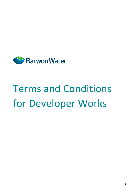

# Terms and Conditions for Developer Works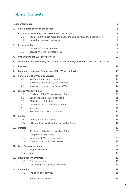### <span id="page-1-0"></span>Table of Contents

|     | <b>Table of Contents</b>                                                                     |                                                                                                                                                                                                                     | $\overline{2}$                         |
|-----|----------------------------------------------------------------------------------------------|---------------------------------------------------------------------------------------------------------------------------------------------------------------------------------------------------------------------|----------------------------------------|
| 1.  |                                                                                              | <b>Relationship between the parties</b>                                                                                                                                                                             | 8                                      |
| 2.  | 2.1<br>2.2                                                                                   | <b>Accredited Consultants and Accredited Contractors</b><br>Requirement to use Accredited Consultants and Accredited Contractors<br>Lapsed Accreditation/Change                                                     | 8<br>8<br>8                            |
| 3.  | <b>Representatives</b><br>3.1<br>3.2                                                         | Developer's Representative<br>Barwon Water's Representative                                                                                                                                                         | 9<br>9<br>9                            |
| 4.  | <b>Undertaking the Works or Services</b><br>10                                               |                                                                                                                                                                                                                     |                                        |
| 5.  | Developer's Responsibility for accredited consultants, contractors and sub-contractors<br>10 |                                                                                                                                                                                                                     |                                        |
| 6.  | <b>Payments</b>                                                                              |                                                                                                                                                                                                                     | 12                                     |
| 7.  |                                                                                              | <b>Commencement and Completion of the Works or Services</b>                                                                                                                                                         | 13                                     |
| 8.  | 8.1<br>8.2<br>8.3                                                                            | <b>Variation to the Works or Services</b><br>No Variation without consent<br>Variations requested by the Developer<br>Variations requested by Barwon Water                                                          | 14<br>14<br>14<br>14                   |
| 9.  | 9.1<br>9.2<br>9.3<br>9.4<br>9.5<br>9.6                                                       | <b>Works Warranty Bond</b><br>Provision of the Works Warranty Bond<br>Use of the Works Warranty Bond<br>Obligation to Reinstate<br>Developer not to seek an injunction<br>Interest<br>Return of Works Warranty Bond | 15<br>15<br>15<br>15<br>15<br>15<br>16 |
| 10. | <b>Audits</b><br>10.1<br>10.2                                                                | Quality audits and testing<br>OHS audits for work on Barwon Water Assets                                                                                                                                            | 16<br>16<br>16                         |
| 11. | <b>Defects</b><br>11.1<br>11.2<br>11.3<br>11.4                                               | Rights and obligations regarding Defects<br>Compliance with notice<br>Duration of Warranty Period<br>Costs incurred by Barwon Water                                                                                 | 17<br>17<br>17<br>17<br>18             |
| 12. | Loss, Damage or Injury<br>12.1<br>Property damage<br>12.2<br>Injury                          |                                                                                                                                                                                                                     | 18<br>18<br>18                         |
| 13. | 13.1<br>13.2                                                                                 | <b>Developer's Warranties</b><br>The warranties<br>Continuing and repeated warranties                                                                                                                               | 19<br>19<br>19                         |
| 14. | Indemnity<br>14.1                                                                            | Provision of Indemnity                                                                                                                                                                                              | 19<br>19                               |
|     | 14.2                                                                                         | Reduction of Liability                                                                                                                                                                                              | 19                                     |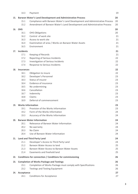|     | 14.3                     | Payment                                                                    | 19 |
|-----|--------------------------|----------------------------------------------------------------------------|----|
| 15. |                          | <b>Barwon Water's Land Development and Administrative Process</b>          | 20 |
|     | 15.1                     | Compliance with Barwon Water's Land Development and Administrative Process | 20 |
|     | 15.2                     | Amendment of Barwon Water's Land Development and Administrative Process    | 20 |
| 16. | <b>OHS</b>               |                                                                            | 20 |
|     | 16.1                     | <b>OHS Obligations</b>                                                     | 20 |
|     | 16.2                     | Control of work site                                                       | 21 |
|     | 16.3                     | Access to work site                                                        | 21 |
|     | 16.4                     | Examination of area / Works on Barwon Water Assets                         | 21 |
|     | 16.5                     | Environment                                                                | 21 |
| 17. | <b>Incidents</b>         |                                                                            |    |
|     | 17.1                     | Keeping of Records                                                         | 21 |
|     | 17.2                     | Reporting of Serious Incidents                                             | 22 |
|     | 17.3                     | Investigation of Serious Incidents                                         | 22 |
|     | 17.4                     | Response to Serious Incidents                                              | 22 |
| 18. | <b>Insurances</b>        |                                                                            | 22 |
|     | 18.1                     | Obligation to insure                                                       | 22 |
|     | 18.2                     | Developer's Personnel                                                      | 23 |
|     | 18.3                     | Status of insurer                                                          | 23 |
|     | 18.4                     | Evidence of insurance                                                      | 23 |
|     | 18.5                     | No undermining                                                             | 23 |
|     | 18.6                     | Cancellation                                                               | 23 |
|     | 18.7                     | Indemnity                                                                  | 23 |
|     | 18.8                     | Claims                                                                     | 23 |
|     | 18.9                     | Deferral of commencement                                                   | 23 |
| 19. | <b>Works Information</b> |                                                                            | 23 |
|     | 19.1                     | Provision of the Works Information                                         | 23 |
|     | 19.2                     | Form of the Works Information                                              | 24 |
|     | 19.3                     | Accuracy of the Works Information                                          | 24 |
| 20. |                          | <b>Barwon Water Information</b>                                            | 24 |
|     | 20.1                     | Relevance of Barwon Water Information                                      | 24 |
|     | 20.2                     | No warranty                                                                | 24 |
|     | 20.3                     | No Claim                                                                   | 24 |
|     | 20.4                     | Use of Barwon Water Information                                            | 24 |
| 21. |                          | <b>Land and Third Party Land</b>                                           | 24 |
|     | 21.1                     | Developer's Access to Third Party Land                                     | 24 |
|     | 21.2                     | Barwon Water Access to land                                                | 25 |
|     | 21.3                     | Barwon Water Access to Barwon Water Assets                                 | 25 |
|     | 21.4                     | Easements and freehold land                                                | 25 |
| 22. |                          | Conditions for connection / Conditions for commissioning                   | 26 |
| 23. |                          | <b>Completion of Works Package and Testings</b>                            | 26 |
|     | 23.1                     | Completion of Works Package must comply with Specifications                | 26 |
|     | 23.2                     | <b>Testings and Testing Equipment</b>                                      | 26 |
| 24. | Acceptance               |                                                                            | 27 |
|     | 24.1                     | <b>Conditions for Acceptance</b>                                           | 27 |
|     |                          |                                                                            |    |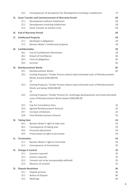|     | 24.2                 | Consequences of Acceptance for Development including a Subdivision                                                                                               | 27             |
|-----|----------------------|------------------------------------------------------------------------------------------------------------------------------------------------------------------|----------------|
|     | 25.1<br>25.2         | 25. Asset Transfer and Commencement of Warranty Period<br>Development without Subdivision<br>Development involving Subdivision<br>Asset Transfer at another time | 28<br>28<br>28 |
| 26. | 25.3                 | <b>End of Warranty Period</b>                                                                                                                                    | 28<br>28       |
|     |                      |                                                                                                                                                                  |                |
| 27. | 27.1<br>27.2         | <b>Intellectual Property</b><br>Developer's obligations<br>Barwon Water's intellectual property                                                                  | 29<br>29<br>29 |
| 28. | Confidentiality      |                                                                                                                                                                  | 29             |
|     | 28.1<br>28.2<br>28.3 | Use of Confidential Information<br><b>Breach of Confidence</b><br>Limit of obligations                                                                           | 29<br>30<br>30 |
|     | 28.4                 | Survival                                                                                                                                                         | 30             |
| 29. | 29.1                 | <b>Reimbursement Works</b><br><b>Reimbursement Works</b>                                                                                                         | 30<br>30       |
|     | 29.2                 | Costing Proposal / Tender Process where total estimated costs of Reimbursement<br>Works exceed \$500,000.00<br>31                                                |                |
|     | 29.3                 | Costing Proposal / Tender Process where total estimated costs of Reimbursement<br>Works are below \$500,000.00<br>31                                             |                |
|     | 29.4                 | Costing Proposal / Tender Process for multistage developments and total estimated<br>costs of Reimbursement Works below \$500,000.00<br>31                       |                |
|     | 29.5                 | Cap for Consultancy Fees.                                                                                                                                        | 32             |
|     | 29.6                 | Agreed Reimbursement Amount                                                                                                                                      | 32             |
|     | 29.7                 | <b>Increase Limitations</b>                                                                                                                                      | 32             |
|     | 29.8                 | <b>Final Reimbursement Amount</b>                                                                                                                                | 32             |
| 30. | <b>Taking Over</b>   |                                                                                                                                                                  | 33             |
|     | 30.1                 | Barwon Water's right to take over                                                                                                                                | 33             |
|     | 30.2                 | Consequence of taking over                                                                                                                                       | 33             |
|     | 30.3                 | Financial adjustment                                                                                                                                             | 34             |
|     | 30.4                 | Preservation of right to terminate                                                                                                                               | 34             |
| 31. | <b>Termination</b>   |                                                                                                                                                                  | 34             |
|     | 31.1<br>31.2         | Barwon Water's right to terminate<br>Consequence of termination                                                                                                  | 34<br>35       |
|     |                      |                                                                                                                                                                  |                |
| 32. | 32.1                 | <b>Change in Control</b><br>Consent required                                                                                                                     | 35<br>35       |
|     | 32.2                 | Actions required                                                                                                                                                 | 35             |
|     | 32.3                 | Consent not to be unreasonably withheld                                                                                                                          | 35             |
|     | 32.4                 | Absence of consent                                                                                                                                               | 35             |
| 33. |                      | <b>Dispute Resolution</b>                                                                                                                                        | 36             |
|     | 33.1                 | Dispute process                                                                                                                                                  | 36             |
|     | 33.2                 | Notice of Dispute                                                                                                                                                | 36             |
|     | 33.3                 | Meetings                                                                                                                                                         | 36             |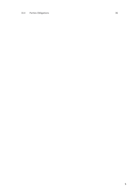### 33.4 [Parties Obligations](#page-36-4) 36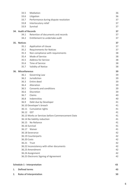|    | 33.5                                             | Mediation                                | 36       |
|----|--------------------------------------------------|------------------------------------------|----------|
|    | 33.6                                             | 36                                       |          |
|    | 33.7                                             | Performance during dispute resolution    | 37       |
|    | 33.8                                             | Interlocutory relief                     | 37       |
|    | 33.9                                             | Survival                                 | 37       |
|    | 34. Audit of Records                             |                                          | 37       |
|    | 34.1                                             | Retention of documents and records       | 37       |
|    | 34.2                                             | Entitlement to undertake audit           | 37       |
|    | 35. Notices                                      |                                          | 37       |
|    | 35.1                                             | Application of clause                    | 37       |
|    | 35.2                                             | <b>Requirements for Notices</b>          | 37       |
|    | 35.3                                             | Non compliance with requirements         | 38       |
|    | 35.4                                             | Mode of Service                          | 38       |
|    | 35.5                                             | <b>Address for Service</b>               | 38       |
|    | 35.6                                             | Time of Service                          | 38       |
|    | 35.7                                             | Validity of Notice                       | 38       |
|    | 36. Miscellaneous                                | 39                                       |          |
|    | 36.1                                             | Governing Law                            | 39       |
|    | 36.2                                             | Jurisdiction                             | 39       |
|    | 36.3                                             | Entire deed                              | 39       |
|    | 36.4                                             | Alteration                               | 39       |
|    | 36.5                                             | Consents and conditions                  | 39       |
|    | 36.6                                             | Discretion                               | 39       |
|    | 36.7                                             | Claims                                   | 40       |
|    | 36.8                                             | Indemnities                              | 40       |
|    | 36.9                                             | Debt due by Developer                    | 41       |
|    | 36.10 Developer's breach                         |                                          | 41       |
|    |                                                  | 36.11 Cumulative rights                  | 41       |
|    | 36.12                                            | <b>GST</b>                               | 41       |
|    | 36.13 Works or Services before Commencement Date | 41                                       |          |
|    | 36.14 No liability reduction                     |                                          | 41       |
|    |                                                  | 36.15 No Reliance                        | 41       |
|    |                                                  | 36.16 Survival                           | 41       |
|    | 36.17 Waiver                                     |                                          | 41       |
|    | 36.18 Severance                                  |                                          |          |
|    |                                                  | 36.19 Counterparts                       | 42       |
|    | 36.20 Costs                                      |                                          | 42       |
|    | 36.21 Trust                                      |                                          | 42       |
|    |                                                  | 36.22 Inconsistency with other documents | 42       |
|    |                                                  | 36.23 Amendment                          | 42       |
|    |                                                  | 36.24 Assignment                         | 42       |
|    |                                                  | 36.25 Electronic Signing of Agreement    | 42       |
|    |                                                  |                                          |          |
|    |                                                  | <b>Schedule 1 - Interpretation</b>       | 43<br>43 |
| 1. | <b>Defined terms</b>                             |                                          |          |
| 2. | <b>Rules of Interpretation</b><br>50             |                                          |          |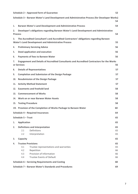| Schedule 2 - Approved form of Guarantee<br>52 |                                                                                                     |                                                                                                                                                    |          |  |  |
|-----------------------------------------------|-----------------------------------------------------------------------------------------------------|----------------------------------------------------------------------------------------------------------------------------------------------------|----------|--|--|
|                                               | Schedule 3 - Barwon Water's Land Development and Administrative Process (for Developer Works)<br>54 |                                                                                                                                                    |          |  |  |
| 1.                                            |                                                                                                     | <b>Barwon Water's Land Development and Administrative Process</b>                                                                                  | 54       |  |  |
| 2.<br><b>Process</b>                          |                                                                                                     | Developer's obligations regarding Barwon Water's Land Development and Administrative                                                               | 54       |  |  |
| 3.                                            |                                                                                                     | The Accredited Consultant's and Accredited Contractors' obligations regarding Barwon<br><b>Water's Land Development and Administrative Process</b> | 55       |  |  |
| 4.                                            |                                                                                                     | <b>Preliminary Servicing Advice</b>                                                                                                                | 56       |  |  |
| 5.                                            | 56<br>Deed application and execution                                                                |                                                                                                                                                    |          |  |  |
| 6.                                            |                                                                                                     | <b>Payments of fees to Barwon Water</b>                                                                                                            | 56       |  |  |
| 7.                                            | or Services                                                                                         | Engagement and Details of Accredited Consultants and Accredited Contractors for the Works                                                          | 56       |  |  |
| 8.                                            |                                                                                                     | <b>Details of Representatives</b>                                                                                                                  | 57       |  |  |
| 9.                                            |                                                                                                     | <b>Completion and Submission of the Design Package</b>                                                                                             | 57       |  |  |
| 10.                                           |                                                                                                     | <b>Resubmission of the Design Package</b>                                                                                                          | 57       |  |  |
| 11.                                           |                                                                                                     | <b>Activity Method Statement</b>                                                                                                                   | 57       |  |  |
| 12.                                           | <b>Easements and freehold land</b><br>58                                                            |                                                                                                                                                    |          |  |  |
| 13.                                           | <b>Commencement of Works</b><br>58                                                                  |                                                                                                                                                    |          |  |  |
| 14.                                           | Work on or near Barwon Water Assets<br>58                                                           |                                                                                                                                                    |          |  |  |
| 15.                                           | <b>Testing Procedure</b><br>58                                                                      |                                                                                                                                                    |          |  |  |
|                                               | 19. Provision of the Completion of Works Package to Barwon Water<br>60                              |                                                                                                                                                    |          |  |  |
|                                               | Schedule 4 - Required Insurances<br>64                                                              |                                                                                                                                                    |          |  |  |
|                                               | Schedule 5 - Trust<br>65                                                                            |                                                                                                                                                    |          |  |  |
| 1.                                            | <b>Application</b>                                                                                  |                                                                                                                                                    | 65       |  |  |
| 2.                                            |                                                                                                     | <b>Definitions and Interpretation</b>                                                                                                              | 65       |  |  |
|                                               | 2.1<br>2.2                                                                                          | Definitions<br>Interpretation                                                                                                                      | 65<br>65 |  |  |
| 3.                                            | Capacity                                                                                            |                                                                                                                                                    | 65       |  |  |
| 4.                                            | <b>Trustee Provisions</b>                                                                           |                                                                                                                                                    | 65       |  |  |
|                                               | 4.1                                                                                                 | Trustee representations and warranties                                                                                                             | 65       |  |  |
|                                               | 4.2                                                                                                 | Repetition                                                                                                                                         | 66       |  |  |
|                                               | 4.3                                                                                                 | Provision of Information                                                                                                                           | 66       |  |  |
|                                               | 4.4                                                                                                 | <b>Trustee Events of Default</b>                                                                                                                   | 66       |  |  |
|                                               |                                                                                                     | Schedule 6 - Servicing Requirements and Costing                                                                                                    | 68       |  |  |
|                                               |                                                                                                     | Schedule 7 - Barwon Water's Standards and Procedures                                                                                               | 69       |  |  |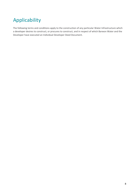# Applicability

The following terms and conditions apply to the construction of any particular Water Infrastructure which a developer desires to construct, or procures to construct, and in respect of which Barwon Water and the Developer have executed an Individual Developer Deed Document.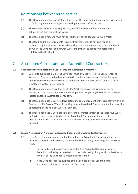### <span id="page-8-0"></span>1. Relationship between the parties

- (a) The Developer and Barwon Water will work together and mutually co-operate with a view to facilitating the undertaking of the Developer's Water Infrastructure.
- (b) The sentiment of subclause 1(a) will be given effect to within the confines and subject to the provisions of the Deed.
- (c) The Developer is not, and must not purport to act as the agent of Barwon Water.
- (d) The Deed, and the arrangements resulting from the Deed, do not give rise to a partnership, joint venture, trust or relationship of employment or any other relationship between the Developer and Barwon Water other than the contractual relationship established by the Deed.

### <span id="page-8-1"></span>2. Accredited Consultants and Accredited Contractors

### <span id="page-8-2"></span>**2.1 Requirement to use Accredited Consultants and Accredited Contractors**

- (a) Subject to subclause 2.1.(b), the Developer must only use Accredited Consultants and Accredited Contractors (holding Accreditation in the appropriate Accredited Category) to undertake the Works or Services or to undertake activities in relation to any part of the Developer's Water Infrastructure;
- (b) The Developer must ensure that as of 1.06.2018, the consultant used becomes an Accredited Consultant, otherwise the Developer must stop using the consultant and must, instead engage an Accredited Consultant.
- (c) The Developer must, 7 Business Days before the commencement of the respective Works or Services, notify Barwon Water, in writing, which Accredited Contractors it will use for the undertaking of the relevant Works or Services.
- (d) The Developer must, 7 Business Days before the commencement of the respective Works or Services by any sub-contractor of the Accredited Consultant or the Accredited Contractor, ensure that Barwon Water is notified in writing which sub- contractor was engaged.

### **2.2 Lapsed Accreditation / Change in Accredited Consultant or Accredited Contractor**

- (a) If the Accreditation of any Accredited Consultants or Accredited Contractors lapses because it is terminated, revoked, suspended or ceased in any other way, the Developer must:
	- (i) not begin to use the Accredited Consultant or Accredited Contractor whose Accreditation has lapsed in relation to the undertaking of any Works or Services or any part of the Developer's Water Infrastructure; or
	- (ii) if the Developer for the purpose of the Deed has already used the party whose Accreditation has lapsed, the Developer must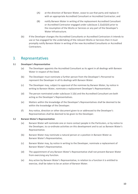- (A) at the direction of Barwon Water, cease to use that party and replace it with an appropriate Accredited Consultant or Accredited Contractor; and
- (B) notify Barwon Water in writing of the replacement Accredited Consultant or Accredited Contractor engaged under subclause 2.2(a)(ii)(A) prior to the resumption of the Works or Services or any part of the Developer's Water Infrastructure.
- (b) If the Developer changes the Accredited Consultants or Accredited Contractors it intends to use or has engaged for the undertaking of the relevant Works or Services then it must promptly notify Barwon Water in writing of the new Accredited Consultants or Accredited Contractors.

### <span id="page-9-0"></span>3. Representatives

### <span id="page-9-1"></span>**3.1 Developer's Representative**

- (a) The Developer appoints the Accredited Consultant as its agent in all dealings with Barwon Water in respect of the Deed.
- (b) The Developer must nominate a further person from the Developer's Personnel to represent the Developer in all its dealings with Barwon Water.
- (c) The Developer may, subject to approval of the nominee by Barwon Water, by notice in writing to Barwon Water, nominate a replacement Developer's Representative.
- (d) The person nominated under subclause 3.1(b) and the Accredited Consultant are both acting as the Developer's Representatives.
- (e) Matters within the knowledge of the Developer's Representatives shall be deemed to be within the knowledge of the Developer.
- (f) Any notice, direction or other document given to or addressed to the Developer's Representatives shall be deemed to be given to the Developer.

### <span id="page-9-2"></span>**3.2 Barwon Water's Representative**

- (a) Barwon Water will nominate one or more contact people in the Particulars, or by notice to the Developer, to co-ordinate activities on this development and to act as Barwon Water's Representative.
- (b) Barwon Water may nominate a natural person or a position in Barwon Water as Barwon Water's Representative,
- (c) Barwon Water may, by notice in writing to the Developer, nominate a replacement of Barwon Water's Representative.
- (d) The appointment of any Barwon Water's Representative shall not prevent Barwon Water from exercising any function.
- (e) Any action by Barwon Water's Representative, in relation to a function it is entitled to exercise, shall be taken to be an action of Barwon Water.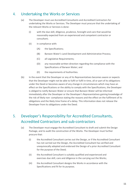### <span id="page-10-0"></span>4. Undertaking the Works or Services

- (a) The Developer must use Accredited Consultants and Accredited Contractors for undertaking the Works or Services. The Developer must procure that the undertaking of the relevant Works or Services is done:
	- (i) with the due skill, diligence, prudence, foresight and care that would be reasonably expected from an experienced and competent contractor or consultant;
	- (ii) in compliance with:
		- (A) the Specifications;
		- (B) Barwon Water's Land Development and Administrative Process;
		- (C) all Legislative Requirements;
		- (D) any reasonable written direction regarding the compliance with the Specifications of Barwon Water; and
		- (E) the requirements of Authorities.
- (b) In the event that the Developer or any of its Representatives becomes aware or expects that the Developer might not be able to fulfil or fulfil in time, all or part of its obligations under the Deed or becomes aware of any change in circumstances which may have an effect on the Specifications or the ability to comply with the Specifications, the Developer is obliged to notify Barwon Water or ensure that Barwon Water will be informed immediately after the Developer or the Developer's Representatives gaining knowledge of the risk of likely non- compliance stating the reasons and the effect on the fulfilment of its obligations and the likely time frame of a delay. This information does not release the Developer from its obligations under the Deed.

### 5. Developer's Responsibility for Accredited Consultants, Accredited Contractors and sub-contractors

- (a) The Developer must engage the Accredited Consultant to draft and submit the Design Package, and to audit the construction of the Works. The Developer must further procure that:
	- (i) the Accredited Consultant carries out the Design, or if the Accredited Consultant has not carried out the Design, the Accredited Consultant has verified and unequivocally adopted and endorsed the Design of a prior Accredited Consultant for the purpose of the Deed;
	- (ii) the Accredited Consultant is suitably qualified and experienced and exercises due skill, care and diligence in the carrying out the Works;
	- (iii) the Accredited Consultant designs the Works in accordance with the Specifications and fit for its purpose;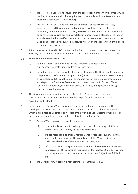- (iv) the Accredited Consultant ensures that the construction of the Works complies with the Specifications and all other requirements contemplated by the Deed and any reasonable request of Barwon Water;
- (v) the Accredited Consultant provides the documents as required in the Deed, including the Land Development and Administrative Process, or as otherwise reasonably required by Barwon Water, which certify that the Works or Services will be or have been carried out and completed in a proper and professional manner, in accordance with the Specifications and all other requirements contemplated by the Deed or as reasonably requested by Barwon Water, and that any statement in these documents are accurate and true.
- (b) After engaging the Accredited Consultant and before the commencement of the Works or Services, the Developer must provide the Accredited Consultant with a copy of the Deed.
- (c) The Developer acknowledges that:
	- (i) Barwon Water at all times relies on the Developer's selection of an experienced and professional skilled consultant, and
	- (ii) the submission, receipt, consideration, or verification of the Design, or the approval, acceptance or verification of an application (including all documents accompanying or connected with the application), or endorsement of the Design or inspection of any stage of the Design by Barwon Water, does not amount to Barwon Water consenting to, ratifying or otherwise accepting liability in respect of the Design or construction of the Works.
- (d) The Developer must ensure that any of its Accredited Contractors and any subcontractor is suitably experienced and qualified to perform the Works or Services according to the Deed.
- <span id="page-11-0"></span>(e) In the event that Barwon Water reasonably considers that any staff member of the Developer, the Accredited Consultant, the Accredited Contractor or the sub- contractor which is appointed to undertake any aspect of the Works, is not satisfactorily skilled or is not complying, or will not comply, with the obligations under the Deed:
	- (i) Barwon Water may on reasonable prior notice:
		- (A) request the Developer, to exchange, or ensure the exchange of, this staff member by a satisfactorily skilled staff member, or
		- (B) impose reasonable additional requirements in respect of supervising that staff member and verifying the compliance of the Works or Services undertaken by that staff member with the Deed, and
		- (C) refuse to provide its respective next consent to allow the Works or Services to progress until the exchange requested under subclause 5.2(e)(i) is carried out or the additional requirements under subclause 5.2(e)(ii) are fulfilled; and
	- (ii) the Developer must comply a request under paragraph  $5(e)(i)(A)$ .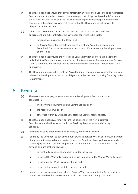- (f) The Developer must ensure that any contract with an Accredited Consultant, an Accredited Contractor, and any sub-contractor contains terms that oblige the Accredited Consultant, the Accredited Contractor, and the sub-contractor to perform its obligations under the contract or subcontract in a way that ensures that the Developer complies with its obligations under the Deed.
- (g) When using Accredited Consultants, Accredited Contractors, or in case of any engagement of a sub-contractor, the Developer continues to be liable:
	- (i) for its obligations under the Deed; and
	- (ii) to Barwon Water for the acts and omissions of any Accredited Consultants, Accredited Contractors or any sub-contractor as if they were the Developer's acts or omissions.
- (h) The Developer must provide the Accredited Contractor with all information about the individual Specification, the Warranty Period, the Barwon Water Representatives, Barwon Water's Standards and Procedures and any other information which is relevant for Works or Services.
- (i) The Developer acknowledges that the Accreditation of consultants or contractors does not release the Developer from any of its obligations under the Deed or arising from Legislative Requirements.

### <span id="page-12-0"></span>6. Payments

- (a) The Developer must pay to Barwon Water the Development Fees by the date as stipulated in:
	- (i) The Servicing Requirements and Costing Schedule; or
	- (ii) the respective invoice; or
	- (iii) otherwise within 10 Business Days after the Commencement Date.
- (b) The Developer must pay, or must ensure the payment of, the New Customer Contributions at the time as set out in the Servicing Requirements and Costing Schedule.
- (c) Payments must be made by cash, bank cheque, or electronic transfer.
- (d) Failure by the Developer to pay any amount owing to Barwon Water, or to ensure payment of any amount owing to Barwon Water (where the Developer is obliged to ensure such payment) by the date specified for payment of that amount, shall allow Barwon Water to do any one or more of the following:
	- (i) to withhold any consent or approval under the Deed;
	- (ii) to extend the Warranty Period and refuse to release of the Works Warranty Bond;
	- (iii) to call upon the Works Warranty Bond; and
	- (iv) to sue on the amounts as debts due and payable.
- (e) In any case where any monies are due to Barwon Water pursuant to the Deed, and such monies are owed by the Developer who is also the Landowner of any part or all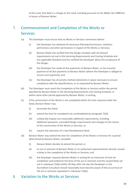of the Land, that debt is a charge on the Land, including pursuant to the *Water Act 1989* Act in favour of Barwon Water.

### <span id="page-13-0"></span>7. Commencement and Completion of the Works or Services

- (a) The Developer must ensure that no Works or Services commence before:
	- (i) the Developer has obtained all necessary Planning Permissions, statutory permissions and other permissions in respect of the Works or Services;
	- (ii) Barwon Water has verified that the Design complies with all relevant requirements set out in the Servicing Requirements and Costing Schedule and any applicable Standard and has notified the Developer about the acceptance of the Design;
	- (iii) the Developer has made all due payments to Barwon Water, or has ensured payment of all due payments to Barwon Water (where the Developer is obliged to ensure such payment); and
	- (iv) the Developer has all activity method statements in place necessary to ensure compliance with the Specifications, or as requested by Barwon Water.
- (b) The Developer must reach the Completion of the Works or Services within the period specified by Barwon Water in the Servicing Requirements and Costing Schedule, or within some other period approved by Barwon Water, in writing.
- (c) If the construction of the Works is not completed within the time required under the Deed, Barwon Water may:
	- (i) terminate the Deed;
	- (ii) extend the time for completion (as contemplated by paragraph [7\(d\)\)](#page-13-2);
	- (iii) unilaterally impose any reasonable additional requirements, including additional payments, amended Design requirements and changes to the nature of the construction of the Works or Services; or
	- (iv) require the execution of a new Development Deed.
- <span id="page-13-2"></span>(d) Barwon Water may extend the time for completion of the Works or Services for a period determined by Barwon Water, provided:
	- (i) Barwon Water decides to extend the period, or
	- (ii) an act or omission of Barwon Water or its authorised representatives directly caused a delay in the completion of the Works or Services; and
	- (iii) the Developer requests Barwon Water in writing for an extension of time for completion and evidences the facts of the act or omission and the caused delay set out in subclause 7(d)(i) within 28 days after the day the Developer or the Accredited Consultant should reasonably have become aware of the occurrence of the act or omission stipulated in subclause 7(d)(i).

### <span id="page-13-1"></span>8. Variation to the Works or Services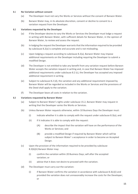#### <span id="page-14-0"></span>**8.1 No Variation without consent**

- (a) The Developer must not vary the Works or Services without the consent of Barwon Water.
- (b) Barwon Water may, in its absolute discretion, consent or decline to consent to a variation request from the Developer.

### <span id="page-14-1"></span>**8.2 Variations requested by the Developer**

- (a) If the Developer desires to vary the Works or Services the Developer must lodge a request in writing with Barwon Water, with sufficient details for Barwon Water, in the opinion of Barwon Water, to review and assess the request.
- (b) In lodging the request the Developer warrants that the information required to be provided by subclause 8.2(a) is complete and accurate and is not misleading.
- (c) Upon lodging a request according to subclause 8.2(a), Barwon Water may impose additional requirements on the Developer including requiring the Developer to submit a modified Design.
- (d) The Developer is not entitled to take any benefit from any variation request before Barwon Water accepts the variation request in writing and, in case that Barwon Water has imposed additional requirements under subclause 8.2 (c), the Developer has accepted any imposed additional requirement in writing.
- (e) Subject to subclause 8.2 (d), the variation and any additional requirement imposed by Barwon Water will be regarded as included in the Works or Services and the provisions of the Deed shall apply to the variation.
- (f) The Developer bears all costs in relation to the variation.

### <span id="page-14-2"></span>**8.3 Variations requested by Barwon Water**

- (a) Subject to Barwon Water's rights under subclause 15.2, Barwon Water may request in writing that the Developer varies the Works or Services.
- (b) Unless Barwon Water requests otherwise, within 10 Business Days the Developer must:
	- (i) indicate whether it is able to comply with the request under subclause 8.3(a); and
	- (ii) if it indicates it is able to comply with the request:
		- (A) describe the impact that the variation will have on the performance of the Works or Services; and
		- (B) provide a modified Design if required by Barwon Water which will be subject to Barwon Water' s acceptance in order to become an Accepted Design.
- (c) Upon the provision of the information required to be provided by subclause 8.3(b)(ii) Barwon Water may:
	- (i) confirm the variation within 20 Business Days; will after the accepted variation; or
	- (ii) advise that it does not desire to proceed with the variation.
- (d) The Developer must carry out the variation:
	- (i) if Barwon Water confirms the variation in accordance with subclause 8.3(c)(i) and provided the variation does not unreasonably increase the costs for the Developer; or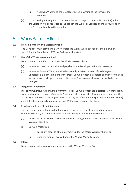- (ii) if Barwon Water and the Developer agree in writing to the terms of the variation.
- (e) If the Developer is required to carry out the variation pursuant to subclause 8.3(d) then the variation will be regarded as included in the Works or Services and the provisions of the Deed shall apply to the variation.

### <span id="page-15-0"></span>9. Works Warranty Bond

### <span id="page-15-1"></span>**9.1 Provision of the Works Warranty Bond**

The Developer must provide to Barwon Water the Works Warranty Bond at the time when submitting the Completion of Works Package at the latest.

### <span id="page-15-2"></span>**9.2 Use of the Works Warranty Bond**

Barwon Water is entitled to call upon the Works Warranty Bond

- (a) whenever there is a debt due and payable by the Developer to Barwon Water, or
- (b) whenever Barwon Water is entitled to remedy a Defect or to rectify a damage or to undertake a similar action under the Deed, Barwon Water may before or after carrying out any such work, call upon the Works Warranty Bond to meet the cost, or the likely cost, of doing so.

### <span id="page-15-3"></span>**9.3 Obligation to Reinstate**

If at any time, including during the Warranty Period, Barwon Water has exercised its right to claim some part or all of the Works Warranty Bond under this clause, the Developer must reinstate the Works Warranty Bond to its original amount (or any modified amount specified by Barwon Water) and, if the Developer fails to do so, Barwon Water may terminate the Deed.

### <span id="page-15-4"></span>**9.4 Developer not to seek an injunction**

The Developer agrees that it will not at any time take steps to seek an injunction against or otherwise restrain, or attempt to seek an injunction against or otherwise restrain:

- (a) any issuer of the Works Warranty Bond from paying Barwon Water pursuant to the Works Warranty Bond; or
- (b) Barwon Water from:
	- (i) taking any steps to obtain payment under the Works Warranty Bond; or
	- (ii) using the monies received under the Works Warranty Bond.

#### <span id="page-15-5"></span>**9.5 Interest**

Barwon Water will own any interest earned on the Works Warranty Bond.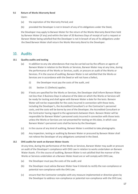### <span id="page-16-0"></span>**9.6 Return of Works Warranty Bond**

Upon:

- (a) the expiration of the Warranty Period; and
- (b) provided the Developer is not in breach of any of its obligations under the Deed,

the Developer may apply to Barwon Water for the return of the Works Warranty Bond then held by Barwon Water (if any) and within the later of 20 Business Days of receipt of such a request or Barwon Water being satisfied that the Developer is not in breach of any of its obligations under the Deed Barwon Water shall return the Works Warranty Bond to the Developer.

### <span id="page-16-1"></span>10. Audits

### <span id="page-16-2"></span>**10.1 Quality audits and testing**

- (a) In addition to any site attendances that may be carried out by the officers or agents of Barwon Water in relation to the Works or Services, Barwon Water may at any time, during the performance of the Works or Services, audit, or procure an audit of the Works or Services. If in the course of auditing, Barwon Water is not satisfied that the Works or Services are in accordance with the Deed or will not have a Defect,
	- (i) the Developer must pay the costs of the audit, and
	- (ii) Section 11 (Defects) applies.
- (b) If tests are specified for the Works or Services, the Developer shall inform Barwon Water not less than 3 Business Days in advance of the date on which the Works or Services will be ready for testing and shall agree with Barwon Water a date for the tests. Barwon Water will not be responsible for the costs incurred in connection with those tests, including the Developer's, the Accredited Consultant's or the Contractor's personnel costs, and the costs will be borne by one of the Developer, the Accredited Consultant or the Contractor having regard to the agreements between them. Barwon Water will be responsible for Barwon Water's personnel costs incurred in connection with those tests unless the Works or Services are not presented for testing on this date, in which case Barwon Water's personnel costs shall be borne by the Developer.
- (c) In the course of any kind of auditing, Barwon Water is entitled to take photographs.
- (d) Any inspection, testing or auditing by Barwon Water or procured by Barwon Water shall not relieve the Developer of any obligations contained in the Deed.

### <span id="page-16-3"></span>**10.2 OHS audits for work on Barwon Water Assets**

At any time, during the performance of the Works or Services, Barwon Water may audit or procure an audit of the Developer's compliance with OHS Law in relation to works undertaken on Barwon Water Assets. If in the course of auditing, Barwon Water is not satisfied that the manner of the Works or Services undertaken at a Barwon Water Asset are or will comply with OHS Law,

- (a) the Developer must pay the costs of the audit; and
- (b) the Developer must advise Barwon Water how it intends to rectify the non-compliance or potential non-compliance with the OHS Law;
- (c) ensure that the Contractor complies with any measure implemented or direction given by the Developer to address non-compliance or potential non-compliance with the OHS Law;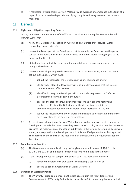(d) if requested in writing from Barwon Water, provide evidence of compliance in the form of a report from an accredited specialist certifying compliance having reviewed the remedy measures.

### <span id="page-17-0"></span>11. Defects

### <span id="page-17-1"></span>**11.1 Rights and obligations regarding Defects**

At any time after commencement of the Works or Services and during the Warranty Period, Barwon Water may:

- (a) notify the Developer by notice in writing of any Defect that Barwon Water reasonably considers to exist;
- (b) require the Developer, at the Developer's cost, to remedy the Defect within the period set out in the notice which shall be determined by Barwon Water having regard to the nature of the Defect;
- (c) at its discretion, undertake, or procure the undertaking of emergency works in respect of any such Defect; and
- (d) require the Developer to provide to Barwon Water a response letter, within the period set out in the notice, which must:
	- (i) set out the reasons for the Defect occurring or circumstance arising;
	- (ii) identify what steps the Developer will take in order to ensure that the Defect, circumstance and effect ceases;
	- (iii) identify what steps the Developer will take in order to prevent the Defect or circumstance occurring again in the future;
	- (iv) describe the steps the Developer proposes to take in order to rectify and resolve the effects of the Defect and/or the circumstances within the timeframe determined by Barwon Water under subclause 22.1(c); and
	- (v) set out the reasons why Barwon Water should not take further action under the Deed in relation to the Defect or circumstance.
- (e) At the absolute discretion of Barwon Water, Barwon Water may instead of requiring the Developer to remedy the Defect according to subclause 11.1.b), require that the Developer procures the modification of the plan of subdivision in the form as determined by Barwon Water, and require that the Developer submits this modified plan to Council for approval. The approval by the council of the modified plan of subdivision is a requirement for any Acceptance.

### <span id="page-17-2"></span>**11.2 Compliance with notice**

- (a) The Developer must comply with any notice given under subclauses 11.1(a), 11.1(b), 11.1(d), and 12.1(b) and must do so within the time nominated in that notices.
- (b) If the Developer does not comply with subclause 11.2(a) Barwon Water may
	- (i) remedy the Defect with own staff or by engaging a contractor, or
	- (ii) decline to issue an Acceptance of Works Certificate.

### <span id="page-17-3"></span>**11.3 Duration of Warranty Period**

(a) The Warranty Period commences on the date as set out in the Asset Transfer and Commencement of Warranty Period Letter in subclause 25.1(b) and applies for a period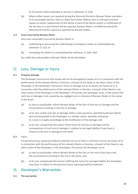of 24 months unless extended as set out in subclause 11.3.(b).

(b) Where either repairs are required during the Warranty Period or Barwon Water considers, in its reasonable opinion, that it is likely that further Defects exist or will exist and that repairs to and/or replacement of the Works or part of the Works and/or a rectification of the Services or a part thereof will be required, Barwon Water is entitled to extend the Warranty Period for a period as specified by Barwon Water.

### <span id="page-18-0"></span>**11.4 Costs incurred by Barwon Water**

Any costs reasonably incurred by Barwon Water in:

- (a) undertaking or procuring the undertaking of emergency works as contemplated by subclause 11.1(c); or
- (b) remedying the Defect as contemplated by subclause 11.2(b), shall

be a debt due and payable to Barwon Water by the Developer.

### <span id="page-18-1"></span>12. Loss, Damage or Injury

### <span id="page-18-2"></span>**12.1 Property damage**

The Developer must ensure that Assets will not be damaged by reason of or in connection with the performance of the relevant Works or Services, a breach of the Deed or any other action of the Developer or the Developer's Personnel. If loss or damage occurs to Assets, by reason of or in connection with the performance of the relevant Works or Services, a breach of the Deed or any other action of the Developer or the Developer's Personnel, the Developer must, to the extent that such loss or damage is not caused by any negligent act or omission of Barwon Water or the owner of the Asset:

- (a) as soon as practicable, inform Barwon Water of the fact of that loss or damage and the circumstances resulting in the loss or damage;
- (b) at its cost, rectify such loss or damage within a time period as specified by Barwon Water and communicated to the Developer in a written notice, whereby subclauses 11.2 and 11.4 apply accordingly to the rectification of the damage; and
- (c) at its cost, compensate the owner of the Asset for any loss or damage and the consequences of such loss or damage in relation to any legal liability it may have in relation to the loss or damage to the Asset.
- **12.2** Injury

If a personal injury requiring medical treatment occurs or there is risk that it occurs by reason of or in connection with the performance of the relevant Works or Services, a breach of the Deed or any other action of the Developer or the Developer's Personnel, the Developer must:

- (a) as soon as practicable, inform Barwon Water of the fact or the risk of that injury and the circumstances resulting in the risk or the injury; and
- (b) at its cost, compensate the person suffering the injury for any legal liability the Developer may have in relation to the personal injury requiring medical treatment.

### <span id="page-18-3"></span>13. Developer's Warranties

<span id="page-18-4"></span>**13.1 The warranties**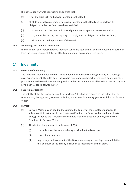The Developer warrants, represents and agrees that:

- (a) it has the legal right and power to enter into the Deed;
- (b) all of its internal requirements necessary to enter into the Deed and to perform its obligations under the Deed have been satisfied;
- (c) it has entered into the Deed in its own right and not as agent for any other entity;
- (d) it has, and will maintain, the capacity to comply with its obligations under the Deed;
- (e) it will comply with the provisions of the Deed.

#### <span id="page-19-0"></span>**13.2 Continuing and repeated warranties**

The warranties and representations set out in subclause 13.1 of the Deed are repeated on each day from the Commencement Date until the termination or expiration of the Deed.

### <span id="page-19-1"></span>14. Indemnity

### <span id="page-19-2"></span>**14.1 Provision of Indemnity**

The Developer indemnifies and must keep indemnified Barwon Water against any loss, damage, cost, expense or liability suffered or incurred in relation to any breach of the Deed or any warranty provided for in the Deed. Any amount payable under this indemnity shall be a debt due and payable by the Developer to Barwon Water.

### <span id="page-19-3"></span>**14.2 Reduction of Liability**

The liability of the Developer pursuant to subclause 14.1 shall be reduced to the extent that any relevant loss, damage, cost, expense or liability was caused by the negligent or wilful act of Barwon Water.

### <span id="page-19-4"></span>**14.3 Payment**

- (a) Barwon Water may, in good faith, estimate the liability of the Developer pursuant to subclause 14.1 that arises in relation to rectification of a Defect and upon that estimate being provided to the Developer the estimate shall be a debt due and payable by the Developer to Barwon Water.
- (b) The debt arising pursuant to subclause 14.3(a):
	- (i) is payable upon the estimate being provided to the Developer;
	- (ii) is provisional only; and
	- (iii) may be adjusted as a result of the Developer taking proceedings to establish the final quantum of the liability in relation to rectification of the Defect.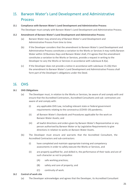### <span id="page-20-0"></span>15. Barwon Water's Land Development and Administrative Process

### <span id="page-20-1"></span>**15.1 Compliance with Barwon Water's Land Development and Administrative Process**

The Developer must comply with Barwon Water's Land Development and Administrative Process.

### <span id="page-20-2"></span>**15.2 Amendment of Barwon Water's Land Development and Administrative Process**

- (a) Barwon Water may amend any of Barwon Water's Land Development and Administrative Process from time to time.
- (b) If the Developer considers that the amendment to Barwon Water's Land Development and Administrative Process constitutes a variation to the Works or Services it may notify Barwon Water within 10 Business Days and Barwon Water shall, if it agrees that the amendment constitutes a variation to the Works or Services, provide a request in writing to the Developer to vary the Works or Services in accordance with subclause 8.3(a).
- (c) If the Developer does not provide a notice in accordance with subclause 15.2(b) then the amendment to Barwon Water's Land Development and Administrative Process shall form part of the Developer's obligations under the Deed.

### <span id="page-20-3"></span>16. OHS

### <span id="page-20-4"></span>**16.1 OHS Obligations**

- (a) The Developer must, in relation to the Works or Services, be aware of and comply with and ensure that the Accredited Contractors, Accredited Consultants and sub- contractors are aware of and comply with:
	- (i) any applicable OHS Law, including relevant state or federal government requirements relating to the coronavirus (COVID-19) pandemic;
	- (ii) all Barwon Water's Standards and Procedures applicable for the work on Barwon Water Assets; and
	- (iii) all lawful directions and orders given by Barwon Water's Representative or any person authorised by Barwon Water or by Legislative Requirements to give directions in relation to works on Barwon Water Assets.
- (b) The Developer must ensure and warrants that the Accredited Consultant, the Accredited Contractors and sub-contractors:
	- (i) have completed and maintain appropriate training and competency assessments in order to safely execute the Works or Services, and
	- (ii) are properly qualified for, and skilled in, the performance of their tasks and are of such character as not to prejudice:
		- (A) safe working practices;
		- (B) safety and care of property; and
		- (C) continuity of work.

### <span id="page-20-5"></span>**16.2 Control of work site**

(a) The Developer acknowledges and agrees that the Developer, its Accredited Consultant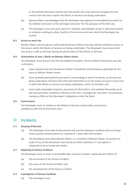or Accredited Contractor shall be the only parties who may exercise management and control over the area in which the Works or Services are being undertaken.

- (b) Barwon Water acknowledges that the Developer may appoint its Accredited Consultant or Accredited Contractor as the 'principal contractor' for the purposes of the OHS Law.
- (c) The Developer must not cause, permit or tolerate unacceptable actual or potential hazards or incidents relating to safety, health or the environment over which the Developer has control.

#### <span id="page-21-0"></span>**16.3 Access to work site**

Barwon Water and any person authorised by Barwon Water or by law shall be entitled to access to the area in which the Works or Services are being undertaken. The Developer must ensure that this access is safe at all times during the performance of the Works or Services.

### <span id="page-21-1"></span>**16.4 Examination of area / Works on Barwon Water Assets**

The Developer must procure that the Accredited Consultant, the Accredited Contractors and subcontractors

- (a) have received and read the Barwon Water's Standards and Procedures applicable for the work on Barwon Water Assets;
- (b) have carefully examined the area and its surroundings in which the Works or Services are being undertaken and have fully informed themselves as to the means of access to the area in which the Works or Services are being undertaken, and to its facilities; and
- (c) have made reasonable enquiries, examined all information, and satisfied themselves as to the local and other conditions relevant to the risks, contingencies and other circumstances having an effect on the Developer's obligations under the Deed.

#### <span id="page-21-2"></span>**16.5 Environment**

The Developer must, in relation to the Works or Services comply with, and procure compliance with the Environment Laws.

### <span id="page-21-3"></span>17. Incidents

#### <span id="page-21-4"></span>**17.1 Keeping of Records**

- (a) The Developer must keep all documents and records relating to Incidents and must keep those records and documents for a period of 7 years after the Incident.
- (b) The Developer must allow Barwon Water, or a nominee of Barwon Water, to conduct an audit of any of the documents and records to which subclause 17.1(a) applies if requested to do so by Barwon Water.

### <span id="page-21-5"></span>**17.2 Reporting of Serious Incidents**

The Developer must, as soon as practicable after a Serious Incident, advise Barwon Water of:

- (a) the occurrence of the Serious Incident;
- (b) the cause of the Serious Incident; and
- (c) the consequences of the Serious Incident.
- <span id="page-21-6"></span>**17.3 Investigation of Serious Incidents**
	- (a) The Developer must: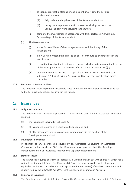- (i) as soon as practicable after a Serious Incident, investigate the Serious Incident with a view to:
	- (A) fully understanding the cause of the Serious Incident; and
	- (B) taking steps to prevent the circumstances which gave rise to the Serious Incident from occurring in the future;
- (ii) complete the investigation in accordance with this subclause 17.3 within 20 Business Days of the Serious Incident.
- (b) The Developer must:
	- (i) advise Barwon Water of the arrangements for and the timing of the investigation;
	- (ii) allow Barwon Water, if it desires to do so, to contribute to or participate in the investigation;
	- (iii) record the investigation in writing in a manner which results in an auditable record of the investigation and the matters referred to in subclause 17.3(a)(i);
	- (iv) provide Barwon Water with a copy of the written record referred to in subclause 17.3(b)(iii) within 5 Business Days of the investigation being concluded.

### <span id="page-22-0"></span>**17.4 Response to Serious Incidents**

The Developer must implement reasonable steps to prevent the circumstances which gave rise to the Serious Incident from occurring in the future.

### <span id="page-22-1"></span>18. Insurances

#### <span id="page-22-2"></span>**18.1 Obligation to insure**

The Developer must maintain or procure that its Accredited Consultant or Accredited Contractor maintain:

- (a) the insurances specified in Schedule 4;
- (b) all insurances required by a Legislative Requirement; and
- (c) all other insurances which a reasonable prudent party in the position of the Developer would maintain.

#### <span id="page-22-3"></span>**18.2 Developer's Personnel**

In addition to any insurances procured by an Accredited Consultant or Accredited Contractor under subclause 18.1, the Developer must procure that the Developer's Personnel maintain all insurances required by a Legislative Requirement.

### <span id="page-22-4"></span>**18.3 Status of insurer**

The insurances required pursuant to subclause 18.1 must be taken out with an insurer which has a rating from Standard & Poor's (or if Standard & Poor's no longer provides such ratings, an equivalent entity to Standard & Poor's acceptable to Barwon Water) of not less than A - and which is permitted by the *Insurance Act 1973* (Cth) to undertake insurance in Australia.

### <span id="page-22-5"></span>**18.4 Evidence of insurance**

The Developer must, within 5 Business Days of the Commencement Date and, within 5 Business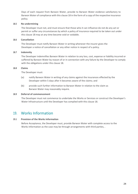Days of each request from Barwon Water, provide to Barwon Water evidence satisfactory to Barwon Water of compliance with this clause 18 in the form of a copy of the respective insurance policy.

### <span id="page-23-0"></span>**18.5 No undermining**

The Developer must not, and must ensure that those who it can influence do not do any act or permit or suffer any circumstances by which a policy of insurance required to be taken out under this clause 18 may at any time become void or voidable.

#### <span id="page-23-1"></span>**18.6 Cancellation**

The Developer must notify Barwon Water in writing whenever the insurer gives the Developer a notice of cancellation or any other notice in respect of a policy.

### <span id="page-23-2"></span>**18.7 Indemnity**

The Developer indemnifies Barwon Water in relation to any loss, cost, expense or liability incurred or suffered by Barwon Water by reason of or in connection with any failure by the Developer to comply with the obligations under this clause 18.

### <span id="page-23-3"></span>**18.8 Claims**

The Developer must:

- (a) notify Barwon Water in writing of any claims against the insurances effected by the Developer within 5 days after it becomes aware of the claims; and
- (b) provide such further information to Barwon Water in relation to the claim as Barwon Water may reasonably require.

### <span id="page-23-4"></span>**18.9 Deferral of commencement**

The Developer must not commence to undertake the Works or Services or construct the Developer's Water Infrastructure until the Developer has complied with this clause 18.

### <span id="page-23-5"></span>19. Works Information

### <span id="page-23-6"></span>**19.1 Provision of the Works Information**

Before Acceptance, the Developer must, provide Barwon Water with complete access to the Works Information as the case may be through arrangements with third parties, .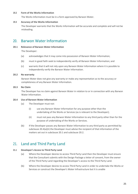#### <span id="page-24-0"></span>**19.2 Form of the Works Information**

The Works Information must be in a form approved by Barwon Water.

### <span id="page-24-1"></span>**19.3 Accuracy of the Works Information**

The Developer warrants that the Works Information will be accurate and complete and will not be misleading.

### <span id="page-24-2"></span>20. Barwon Water Information

### <span id="page-24-3"></span>**20.1 Relevance of Barwon Water Information**

The Developer:

- (a) acknowledges that it may come into possession of Barwon Water Information;
- (b) must in good faith seek to independently verify all Barwon Water Information; and
- (c) warrants that it will not rely upon any Barwon Water Information where it is possible to independently verify the Barwon Water Information.

### <span id="page-24-4"></span>**20.2 No warranty**

Barwon Water does not give any warranty or make any representation as to the accuracy or completeness of any Barwon Water Information.

### <span id="page-24-5"></span>**20.3 No Claim**

The Developer has no claim against Barwon Water in relation to or in connection with any Barwon Water Information.

#### <span id="page-24-6"></span>**20.4 Use of Barwon Water Information**

- (a) The Developer must not:
	- (i) use any Barwon Water Information for any purpose other than the undertaking of the Works or Services (as is relevant to the Developer);
	- (ii) must not pass any Barwon Water Information to any third party other than for the purpose of undertaking of the Works or Services.
- (b) If the Developer passes any Barwon Water Information to any third party as permitted by subclause 20.4(a)(ii) the Developer must advise the recipient of that information of the matters set out in subclause 20.1 and subclause 20.2.

### <span id="page-24-7"></span>21. Land and Third Party Land

### <span id="page-24-8"></span>**21.1 Developer's Access to Third Party Land**

- (a) Where the Developer desires to access Third Party Land then the Developer must ensure that the Consultant submits with the Design Package a letter of consent, from the owner of the Third Party Land regarding the Developer's access to the Third Party Land.
- (b) Where the Developer desires to access Third Party Land in order to undertake the Works or Services or construct the Developer's Water Infrastructure but it is unable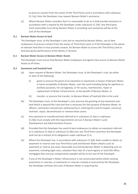to procure consent from the owner of the Third Party Land in accordance with subclause 21.1(a), then the Developer may request Barwon Water's assistance.

(c) Where Barwon Water considers that it is reasonable to do so it shall provide assistance in accordance with a request by the Developer under subclause 21.1(b). Any third party costs reasonably incurred by Barwon Water in providing such assistance will be at the cost of the Developer.

#### <span id="page-25-0"></span>**21.2 Barwon Water Access to land**

The Developer must, at the Developer's cost and as required by Barwon Water, use its best endeavours to procure consent from the owner of Third Party Land, or if the Developer is the owner of relevant land then it must provide consent, for Barwon Water to access the Third Party Land or land during the performance of the Works or Services.

### <span id="page-25-1"></span>**21.3 Barwon Water Access to Barwon Water Assets**

The Developer must ensure that Barwon Water employees and agents have access to Barwon Water Assets at all times.

### <span id="page-25-2"></span>**21.4 Easements and freehold land**

- (a) Upon request of Barwon Water, the Developer must, at the Developer's cost, do either or both of the following:
	- (i) grant or procure the grant of an easement or easements in favour of Barwon Water, in terms acceptable to Barwon Water, over the Land including being for pipelines or ancillary purposes, for carriageway, or for access, maintenance, repair or replacement of Water Infrastructure, to the benefit of Barwon Water; or
	- (ii) transfer, or procure the transfer, to Barwon Water of freehold title to the Land.
- (b) The Developer must, at the Developer's cost, procure the granting of any easement over land which is beyond the Land and that is necessary for the purpose of Barwon Water, its officers, contractors and persons authorised by it, entering the Land to inspect, construct, maintain, repair, decommission or remove those assets.
- (c) Any easement or transferred land referred to in subclause 21.4(a) or subclause 21.4(b) must comply with the requirements set out in Barwon Water's Land Development and Administrative Process.
- (d) Provided that the Developer has used its best endeavours to obtain an easement referred to in subclause 21.4(a) or subclause 21.4(b) over any Third Party Land then the Developer shall not be in breach of its obligations under subclause 21.4.
- (e) Where the Developer has, in accordance with subclause 21.3(d), been unable to obtain an easement or reserve over any Third Party Land and Barwon Water obtains such an easement or reserve any costs reasonably incurred by Barwon Water in obtaining such an easement, including legal costs, valuation fees, fees of a land registry or land title office, mortgagee fees and any compensation payable will be at the cost of the Developer.
- (f) If any of the Developer's Water Infrastructure is not constructed within either existing easements or reserves, or easements or reserves created or procured by the Developer, the Developer will bear the costs of Barwon Water in acquiring the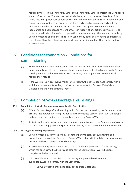required interest in the Third Party Land, or the Third Party Land, to protect the Developer's Water Infrastructure. These expenses include the legal costs, valuation fees, Land Title Office fees, mortgagee fees of Barwon Water or the owner of the Third Party Land and any compensation payable to an owner of the Third Party Land or any other party with an interest in the relevant Third Party Land. The Developer agrees to indemnify, keep indemnified and hold Barwon Water harmless in respect of any action, claim, costs, legal costs (on a full indemnity basis), compensation, interest and any other amount payable by Barwon Water, to an owner of Third Party Land or any other person having an interest in the relevant Third Party Land, with respect to an acquisition of that Third Party Land by Barwon Water.

### <span id="page-26-0"></span>22. Conditions for connection / Conditions for commissioning

- (a) The Developer must not connect the Works or Services to existing Barwon Water's Assets before complying with the requirements for connection as set out in Barwon Water's Land Development and Administrative Process, including providing Barwon Water with all required test results.
- (b) If the Works or Services involve Major Infrastructure, the Developer must comply with all additional requirements for Major Infrastructure as set out in Barwon Water's Land Development and Administrative Process.

### <span id="page-26-1"></span>23. Completion of Works Package and Testings

#### <span id="page-26-2"></span>**23.1 Completion of Works Package must comply with Specifications**

- (a) Fifteen Business Days after the testing which follows the connection, the Developer must procure that Barwon Water is provided with the complete Completion of Works Package and any other information as reasonably requested by Barwon Water.
- (b) All test results, information, and data contained in or attached to the Completion of Works Package must comply with the Specifications and any other requirement under the Deed.

### <span id="page-26-3"></span>**23.2 Testings and Testing Equipment**

- (a) Barwon Water may carry out or advise another party to carry out such testing and inspection of the Works or Services as Barwon Water thinks fit to validate the information provided in the Completion of Works Package.
- (b) Barwon Water may require verification that all of the equipment used for the testing, which has been carried out to provide data for the Completion of Works Package, complied with the Standards.
- (c) If Barwon Water is not satisfied that the testing equipment described under subclause 23.2(b) did comply with the Standards,
	- (i) Barwon Water is entitled to carry out additional testing; or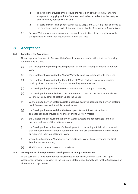- (ii) to instruct the Developer to procure the repetition of the testing with testing equipment complying with the Standards and to be carried out by the party as determined by Barwon Water, and
- (iii) all costs of such testing under subclause 23.2(c)(i) and 23.2(c)(ii) shall be borne by the Developer and are a debt due and payable by the Developer to Barwon Water.
- (d) Barwon Water may request any other reasonable verification of the compliance with the Specification and other requirements under the Deed.

### <span id="page-27-0"></span>24. Acceptance

### <span id="page-27-1"></span>**24.1 Conditions for Acceptance**

The Acceptance is subject to Barwon Water's verification and confirmation that the following requirements are met:

- (a) the Developer has paid or procured payment of any outstanding payments to Barwon Water;
- (b) the Developer has provided the Works Warranty Bond in accordance with the Deed;
- (c) the Developer has provided the Completion of Works Package in electronic and/or hardcopy form or in another form, as required by Barwon Water;
- (d) the Developer has provided the Works Information according to clause 19;
- (e) the Developer has complied with the requirements as set out in clause 22 and clause 23, and with any other obligation under the Deed;
- (f) Connection to Barwon Water's Assets must have occurred according to Barwon Water's Land Development and Administrative Process.
- (g) the Developer has ensured that the Developer's Water Infrastructure is not damaged (and has provided evidence of this to Barwon Water);
- (h) the Developer has ensured that Barwon Water's Assets are not damaged (and has provided evidence of this to Barwon Water);
- (i) the Developer has, in the case of a Development not including a Subdivision, ensured that any reserves or easements required on any land are transferred to Barwon Water or registered in favour of Barwon Water;
- (j) where Reimbursement Works are involved, Barwon Water has determined the Final Reimbursement Amount;
- (k) The Works or Services are reasonably clean.

#### <span id="page-27-2"></span>**24.2 Consequences of Acceptance for Development including a Subdivision**

In the case that a Development does incorporate a Subdivision, Barwon Water will, upon Acceptance, provide its consent to the issue of a Statement of Compliance for that Subdivision or the relevant stage thereof.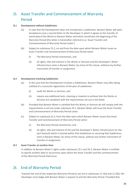### <span id="page-28-0"></span>25. Asset Transfer and Commencement of Warranty Period

### <span id="page-28-1"></span>**25.1 Development without Subdivision**

- (a) In case that the Development does not incorporate a subdivision, Barwon Water will upon Acceptance issue a second letter to the Developer in which it agrees to the transfer of ownership of the Works to Barwon Water and which constitutes the beginning of the Warranty Period (this letter is hereinafter referred to as 'Asset Transfer and Commencement of Warranty Period Letter').
- (b) Subject to subclause 25.2, on and from the date upon which Barwon Water issues an Asset Transfer and Commencement of Warranty Period Letter:
	- (i) The Warranty Period commences, and
	- (ii) all rights, title and interest in the Works or Services and the Developer's Water Infrastructure vests in Barwon Water, by virtue of this clause, without any further instrument of transfer or assignment.

### <span id="page-28-2"></span>**25.2 Development involving Subdivision**

- (a) In the case that the Development involves a Subdivision, Barwon Water may after being notified of a successful registration of the plan of subdivision
	- (i) audit the Works or Services, and
	- (ii) require any additional tests, cleaning or reworks to achieve that the Works or Services are compliant with the requirements set out in the Deed.
- (b) Provided that Barwon Water is satisfied that the Works or Services do still comply with the requirements as set out under subclause 24.1, Barwon Water will issue the Asset Transfer and Commencement of Warranty Period Letter.
- (c) Subject to subclause 25.3, from the date upon which Barwon Water issues that Asset Transfer and Commencement of Warranty Period Letter:
	- (i) the Warranty Period commences; and
	- (ii) all rights, title and interest of the and the Developer's Water Infrastructure (or the part thereof) which is located within that Subdivision or servicing that Subdivision, vests in Barwon Water, by virtue of this clause, without any further instrument of transfer or assignment.

### <span id="page-28-3"></span>**25.3 Asset Transfer at another time**

In addition to Barwon Water's rights under subclauses 25.1 and 25.2, Barwon Water is entitled to specify another date or occurrence upon which the Asset Transfer and the commencement of the Warranty Period shall occur.

### <span id="page-28-4"></span>26. End of Warranty Period

Towards the end of the respective Warranty Period as set out in subclauses 11.3(a) and 11.3(b), the Developer must lodge with Barwon Water a request to end the Warranty Period. Provided that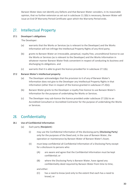Barwon Water does not identify any Defects and that Barwon Water considers, in its reasonable opinion, that no further extension as set out in subclause 11.3(b) is necessary, Barwon Water will issue an End Of Warranty Period Certificate upon which the Warranty Period ends.

### <span id="page-29-0"></span>27. Intellectual Property

### <span id="page-29-1"></span>**27.1 Developer's obligations**

The Developer:

- (a) warrants that the Works or Services (as is relevant to the Developer) and the Works Information will not infringe the Intellectual Property Rights of any third party;
- (b) grants to Barwon Water an irrevocable, perpetual, royalty free, unconditional licence to use the Works or Services (as is relevant to the Developer) and the Works Information in whatever manner Barwon Water finds convenient in respect of conducting its business and discharging its obligations. and
- (c) warrants that it is able to grant the licence provided for in subclause 27.1(b).

### <span id="page-29-2"></span>**27.2 Barwon Water's intellectual property**

- (a) The Developer acknowledges that the provision to it of any of Barwon Water's Information does not give to the Developer any Intellectual Property Rights in that information (other than in respect of the licence granted in subclause 27.2(b)).
- (b) Barwon Water grants to the Developer a royalty free licence to use Barwon Water's Information for the purpose of undertaking the Works or Services.
- (c) The Developer may sub-licence the licence provided under subclause 27.2(b) to an Accredited Consultant or Accredited Contractor for the purpose of undertaking the Works or Services.

### <span id="page-29-3"></span>28. Confidentiality

### <span id="page-29-4"></span>**28.1 Use of Confidential Information**

- (a) Each party (**Recipient**):
	- (i) may use the Confidential Information of the disclosing party (**Disclosing Party**) only for the purposes of the Deed and, in the case of Barwon Water, the operation or maintenance by Barwon Water of Barwon Water's Asset;
	- (ii) must keep confidential all Confidential Information of a Disclosing Party except for a disclosure to persons who:
		- (A) are aware and agree that the Confidential Information must be kept confidential; or
		- (B) where the Disclosing Party is Barwon Water, have signed any confidentiality deed required by Barwon Water from time to time,

and either:

(C) has a need to know (and only to the extent that each has a need to know); or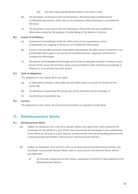- (D) has been approved by Barwon Water from time to time.
- (b) The Developer must ensure that the Developer's Personnel keep confidential all Confidential Information, other than in circumstances where disclosure is permitted by the Deed.
- (c) The Developer must ensure that the Developer's Personnel only use Confidential Information solely for the purpose of undertaking of the Works or Services.

### <span id="page-30-0"></span>**28.2 Breach of Confidence**

- (a) A party must immediately notify the other party of any suspected or actual unauthorised use, copying or disclosure of Confidential Information.
- (b) A party must provide assistance reasonably requested by the other party in relation to any proceedings taken against any person for unauthorised use, copying or disclosure of Confidential Information.
- (c) The parties acknowledges that damages will not be an adequate remedy in relation to any breach of this clause 28 and that a party may be entitled to take injunctive proceedings in relation to, or to prevent any such breach.

### <span id="page-30-1"></span>**28.3 Limit of obligations**

The obligations in this clause 28 to not apply:

- (a) to information already in the public domain (other than as a result of a breach of this clause 28);
- (b) any disclosure required by the listing rules of the Australian Stock Exchange; or
- (c) any disclosure required by law.

#### <span id="page-30-2"></span>**28.4 Survival**

The obligations in this clause 28 survive the termination or expiration of the Deed.

### <span id="page-30-3"></span>29. Reimbursement Works

### <span id="page-30-4"></span>**29.1 Reimbursement Works**

- (a) Subject to subclauses 29.2 until 29.5, Barwon Water may agree that it will reimburse the Developer for the whole or a part of the costs incurred by the Developer in the undertaking of the Works or Services or a part thereof, as determined in the Servicing Requirements and Costing Schedule (hereinafter referred to as 'Reimbursement Works').
- (b) Subject to subclauses 29.2 and 29.3, prior to commencing any Reimbursement Works, the Developer must provide Barwon Water with or must procure that Barwon Water will be provided with:
	- (i) all relevant components of any tender, expression of interest or fee proposal for the Reimbursement Works;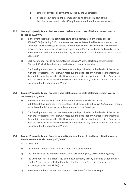- (ii) details of any fees or payments quoted by the Contractor;
- (iii) a separate list detailing the component parts of the total cost of the Reimbursement Works, identifying the estimated reimbursement amount.

### <span id="page-31-0"></span>**29.2 Costing Proposal / Tender Process where total estimated costs of Reimbursement Works exceed \$500,000.00**

- (a) In the event that the total estimated costs of the Reimbursement Works exceed \$500,000.00 (including GST), or in any other case as determined by Barwon Water, the Developer must exercise, and adhere to, the Public Tender Process which is the tender process as determined by the Victorian Government Purchasing Board and as advised by Barwon Water, with the condition that any tender needs to be submitted by an Accredited Contractor.
- (b) Each such tender has to be submitted via Barwon Water's electronic tender portal 'Tenderlink' which is to be found on the Barwon Water's website.
- (c) The Developer must ensure that Barwon Water is provided with the details of the tender with the lowest rates. These lowest rates build the basis for any Agreed Reimbursement Amount, irrespective whether the Developer selects to engage the Accredited Contractor with the lowest rates or whether the Developer chooses any other Accredited Contractor to execute the Reimbursement Works.

### <span id="page-31-1"></span>**29.3 Costing Proposal / Tender Process where total estimated costs of Reimbursement Works are below \$500,000.00**

- (a) In the event that the total costs of the Reimbursement Works are below \$500,000.00 (including GST), the Developer shall, subject to subclause 29.4, request three or more Accredited Contractors to submit a tender to the Developer.
- (b) The Developer must ensure that Barwon Water is provided with the details of the tender with the lowest rates. These lowest rates build the basis for any Agreed Reimbursement Amount, irrespective whether the Developer selects to engage the Accredited Contractor with the lowest rates or whether the Developer chooses any other Accredited Contractor to execute the Reimbursement Works.

### <span id="page-31-2"></span>**29.4 Costing Proposal / Tender Process for multistage developments and total estimated costs of Reimbursement Works below \$500,000.00**

In the event that

- (a) the Reimbursement Works involve a multi stage development;
- (b) the total costs of the Reimbursement Works are below \$500,000.00 (including GST);
- (c) the Developer has, in a prior stage of the development, already executed either a Public Tender Process or has selected the rates of at least three Accredited Contractors according to subclause 29.3(a); and
- (d) Barwon Water has in either case accepted these rates for the prior stage,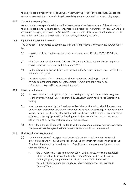the Developer is entitled to provide Barwon Water with the rates of the prior stage, also for the upcoming stage without the need of again exercising a tender process for the upcoming stage.

### <span id="page-32-0"></span>**29.5 Cap for Consultancy Fees.**

Barwon Water may agree to reimburse the Developer for the whole or a part of the costs, which the Developer incurs by paying consultancy fees to the Accredited Consultant. The amount will be a certain percentage, determined by Barwon Water, of the sum of the lowest tendered rates of the Accredited Contractor as described in subclause 29.2(c), 29.3(b), and 29.4.

### <span id="page-32-1"></span>**29.6 Agreed Reimbursement Amount**

The Developer is not entitled to commence with the Reimbursement Works unless Barwon Water has:

- (a) considered all information provided to it under subclauses 29.1(b), 29.2(c), 29.3(b), and 29.4;
- (b) added the amount of money that Barwon Water agrees to reimburse the Developer for consultancy expenses as set out in subclause 29.5.
- (c) deducted any bring forward charges as set out in the Servicing Requirements and Costing Schedule if any; and
- (d) provided notice to the Developer whether it accepts the resulting estimated reimbursement amount (the accepted reimbursement amount is hereinafter referred to as 'Agreed Reimbursement Amount').

### <span id="page-32-2"></span>**29.7 Increase Limitations**

- (a) Barwon Water is not obliged to pay to the Developer a higher amount than the Agreed Reimbursement Amount unless approved by Barwon Water in its Absolute Discretion in writing.
- (b) Any increase requested by the Developer will only be considered provided that complete and accurate information about the reason for the relevant increase is provided to Barwon Water, to its satisfaction, together with proof that the relevant increase does not relate to a Defect, or the negligence of the Developer or its Representatives, or to some matter otherwise within the reasonable control of the Developer.
- (c) At any time the Developer shall render its best endeavours to not incur unnecessary costs irrespective that the Agreed Reimbursement Amount would not be exceeded.

### <span id="page-32-3"></span>**29.8 Final Reimbursement Amount**

- (a) Upon Barwon Water's Acceptance of the Reimbursement Works Barwon Water will determine and will notify the Developer about the final amount to be reimbursed to the Developer (hereinafter referred to as the 'Final Reimbursement Amount') in accordance with the following:
	- (i) the Developer must provide Barwon Water with accurate and complete details of the actual final costs of the Reimbursement Works, including all invoices relating to plant, equipment, materials, Accredited Consultant's costs, Accredited Contractor's costs and any subcontractor's costs, as required by Barwon Water;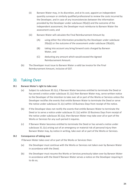- (ii) Barwon Water may, in its discretion, and at its cost, appoint an independent quantity surveyor or similarly qualified professional to review the costs incurred by the Developer, and in case of any inconsistencies between the information provided by the Developer under subclause 29(a)(i) and the outcome of the independent assessment, the Developer must reimburse to Barwon Water the assessment costs; and
- (iii) Barwon Water will calculate the Final Reimbursement Amount by
	- (A) using either the information provided by the Developer under subclause 29(a)(i) or the outcome of the assessment under subclause 29(a)(ii),
	- (B) taking into account any bring forward costs charged by Barwon Water, and
	- (C) deducting any amount which would exceed the Agreed Reimbursement Amount.
- (b) The Developer must issue to Barwon Water a valid tax invoice for the Final Reimbursement Amount, inclusive of GST.

### <span id="page-33-0"></span>30. Taking Over

### <span id="page-33-1"></span>**30.1 Barwon Water's right to take over**

- (a) Subject to subclause 30.1(c), if Barwon Water becomes entitled to terminate the Deed or has served a notice under subclause 31.1(c) then Barwon Water may, serve written notice to the Developer of the intention to take over all or part of the Works or Services unless the Developer rectifies the events that entitle Barwon Water to terminate the Deed or serve the notice under subclause 31.1(c) within 10 Business Days from receipt of the notice.
- (b) If the Developer does not rectify the events that entitle Barwon Water to terminate the Deed or to serve a notice under subclause 31.1(c) within 10 Business Days from receipt of the notice under subclause 30.1(a), then Barwon Water may take over all or part of the Works or Services for any such period it requires.
- (c) If Barwon Water becomes entitled to terminate the Deed or has served a notice under subclause 31.1(c) arising out of an emergency or material risk of personal injury then Barwon Water may, by notice in writing, take over all or part of the Works or Services.

#### <span id="page-33-2"></span>**30.2 Consequence of taking over**

If Barwon Water takes over all or part of the Works or Services then:

- (a) the Developer must continue with the Works or Services not taken over by Barwon Water in accordance with the Deed;
- (b) the Developer must resume the Works or Services previously taken over by Barwon Water in accordance with the Deed if Barwon Water serves a notice on the Developer requiring it to do so;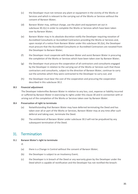- (c) the Developer must not remove any plant or equipment in the vicinity of the Works or Services and which is relevant to the carrying out of the Works or Services without the consent of Barwon Water;
- (d) Barwon Water may, without charge, use the plant and equipment set out in subclause 30.2(c) in order to complete the Works or Services which have been taken over by Barwon Water;
- (e) Barwon Water may in its absolute discretion notify the Developer requiring novation of Accredited Consultants or Accredited Contractors providing the Works or Services and, upon receipt of a notice from Barwon Water under this subclause 30.2(e), the Developer must procure that the Accredited Consultants or Accredited Contractors are novated from the Developer to Barwon Water;
- (f) the Developer must cooperate with Barwon Water and assist Barwon Water in procuring the completion of the Works or Services which have been taken over by Barwon Water;
- (g) the Developer must procure the cooperation of all contractors and consultants engaged by the Developer in relation to the carrying out of the Works or Services such that those contractors and consultants, subject to the direction of Barwon Water, continue to carry out the activities which they were contracted to the Developer to carry out; and
- (h) the Developer must bear the cost of the cooperation and procuring the cooperation described in this subclause 30.2.

### <span id="page-34-0"></span>**30.3 Financial adjustment**

The Developer indemnifies Barwon Water in relation to any loss, cost, expense or liability incurred or suffered by Barwon Water in exercising its rights under this clause 30 and in connection with or arising out of the completion of the Works or Services taken over by Barwon Water.

### <span id="page-34-1"></span>**30.4 Preservation of right to terminate**

- (a) Notwithstanding that Barwon Water may have deferred terminating the Deed and has taken over all or part of the Works or Services, Barwon Water may at any time after such deferral and taking over, terminate the Deed.
- (b) The entitlement of Barwon Water under subclause 30.3 will not be prejudiced by any subsequent termination of the Deed.

### <span id="page-34-2"></span>31. Termination

### <span id="page-34-3"></span>**31.1 Barwon Water's right to terminate**

If:

- (a) there is a Change in Control without the consent of Barwon Water;
- (b) the Developer is subject to an Insolvency Event;
- (c) the Developer is in breach of the Deed or any warranty given by the Developer under the Deed which is capable of rectification and the Developer has not rectified the breach: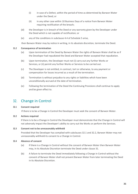- (i) in case of a Defect, within the period of time as determined by Barwon Water under the Deed; or
- (ii) in any other case within 10 Business Days of a notice from Barwon Water requiring rectification of the breach;
- (d) the Developer is in breach of the Deed or any warranty given by the Developer under the Deed which is not capable of rectification; or
- (e) any of the conditions in subclause 4.4 of Schedule 5 arise,

then Barwon Water may by notice in writing, in its absolute discretion, terminate the Deed.

### <span id="page-35-0"></span>**31.2 Consequence of termination**

- (a) Upon termination of the Deed by Barwon Water the rights of Barwon Water shall be as if the Developer had repudiated the Deed and Barwon Water accepted that repudiation.
- (b) Upon termination, the Developer must not (i) carry out any further Works or Services, or (ii) permit any further Works or Services to be carried out.
- (c) The Developer is not entitled, in contract, tort or otherwise, to any payment or compensation for losses incurred as a result of the termination.
- (d) Termination is without prejudice to any rights or liabilities which have been unconditionally accrued at the date of termination.
- (e) Following the termination of the Deed the Continuing Provisions shall continue to apply and be given effect to.

### <span id="page-35-1"></span>32. Change in Control

### <span id="page-35-2"></span>**32.1 Consent required**

If there is to be a Change in Control the Developer must seek the consent of Barwon Water.

### <span id="page-35-3"></span>**32.2 Actions required**

If there is to be a Change in Control the Developer must demonstrate that the Change in Control will not adversely impact the Developer's ability to carry out the Works or perform the Services.

### <span id="page-35-4"></span>**32.3 Consent not to be unreasonably withheld**

Provided that the Developer has complied with subclauses 32.1 and 32.2, Barwon Water may not unreasonably withhold its consent to a Change in Control.

### <span id="page-35-5"></span>**32.4 Absence of consent**

- (a) If there is a Change in Control without the consent of Barwon Water then Barwon Water may, in its Absolute Discretion terminate the Deed under clause 31.
- (b) A failure to terminate the Deed immediately following a Change in Control without the consent of Barwon Water shall not prevent Barwon Water from later terminating the Deed in its Absolute Discretion.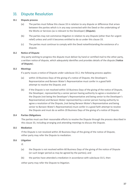### <span id="page-36-0"></span>33. Dispute Resolution

### <span id="page-36-1"></span>**33.1 Dispute process**

- (a) The parties must follow this clause 33 in relation to any dispute or difference that arises between the parties which is in any way connected with the Deed or the undertaking of the Works or Services (as is relevant to the Developer) (**Dispute**).
- (b) The parties may not commence litigation in relation to any Dispute (other than for urgent relief) unless and until it becomes entitled to do so under this clause 33.
- (c) The parties must continue to comply with the Deed notwithstanding the existence of a dispute.

### <span id="page-36-2"></span>**33.2 Notice of Dispute**

Any party wishing to progress the dispute must deliver by hand or certified mail to the other party, a written notice of dispute, which adequately identifies and provides details of the dispute (N**otice of Dispute**).

### <span id="page-36-3"></span>**33.3 Meetings**

If a party issues a notice of Dispute under subclause 33.2, the following process applies:

- (a) within 10 Business Days of the giving of a notice of Dispute, the Developer's Representative and Barwon Water's Representative must confer in a good faith attempt to resolve the Dispute; and
- (b) if the Dispute is not resolved within 10 Business Days of the giving of the notice of Dispute, the Developer, represented by a senior person having authority to agree a resolution of the Dispute (not being the Developer's Representative and being senior to the Developer's Representative) and Barwon Water represented by a senior person having authority to agree a resolution of the Dispute, (not being Barwon Water's Representative and being senior to Barwon Water's Representative) must confer in a good faith attempt to resolve the Dispute and must do so within 20 Business Days of the giving of a notice of Dispute.

### <span id="page-36-4"></span>**33.4 Parties Obligations**

The parties must use their reasonable efforts to resolve the Dispute through the process described in this clause 33, including arranging and attending meetings to discuss the Dispute.

#### **33.5 Mediation**

If the Dispute is not resolved within 20 Business Days of the giving of the notice of Dispute, either party may refer the Dispute to mediation.

#### **33.6 Litigation**

If:

- (a) the Dispute is not resolved within 60 Business Days of the giving of the notice of Dispute (or such longer period as may be agreed by the parties); and
- (b) the parties have attended a mediation in accordance with subclause 33.5, then

either party may refer the Dispute to litigation.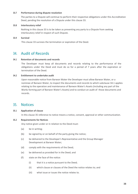#### **33.7 Performance during dispute resolution**

The parties to a Dispute will continue to perform their respective obligations under this Accreditation Deed, pending the resolution of a Dispute under this clause 33.

### **33.8 Interlocutory relief**

Nothing in this clause 33 is to be taken as preventing any party to a Dispute from seeking interlocutory relief in respect of such Dispute.

### **33.9 Survival**

This clause 33 survives the termination or expiration of the Deed.

### 34. Audit of Records

### **34.1 Retention of documents and records**

The Developer must keep all documents and records relating to the performance of the obligations under the Deed and must do so for a period of 7 years after the expiration or termination of the Deed.

### **34.2 Entitlement to undertake audit**

Upon reasonable notice from Barwon Water the Developer must allow Barwon Water, or a nominee of Barwon Water, to inspect the documents and records to which subclause 34.1 applies relating to the operation and maintenance of Barwon Water's Assets (including any part of the Works forming part of Barwon Water's Assets) and to conduct an audit of those documents and records.

### 35. Notices

#### **35.1 Application of clause**

In this clause 35 reference to notice means a notice, consent, approval or other communication.

### **35.2 Requirements for Notices**

Any notice given under or in relation to the Deed must:

- (a) be in writing;
- (b) be signed by or on behalf of the party giving the notice;
- (c) be delivered to the Developer's Representative and the Group Manager Development at Barwon Water;
- (d) comply with the requirements of the Deed;
- (e) be delivered as provided for in the Deed; and
- (f) state on the face of the notice:
	- (i) that it is a notice pursuant to the Deed;
	- (ii) which clause or clauses of the Deed the notice relates to; and
	- (iii) what issue or issues the notice relates to.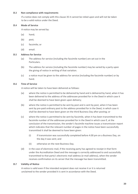#### **35.3 Non compliance with requirements**

If a notice does not comply with this clause 35 it cannot be relied upon and will not be taken to be a valid notice under the Deed.

### **35.4 Mode of Service**

A notice may be served by:

- (a) hand;
- (b) post;
- (c) facsimile; or
- (d) email.

### **35.5 Address for Service**

- (a) The address for service (including the facsimile number) are set out in the Particulars.
- (b) The address for service (including the facsimile number) may be varied by a party upon the giving of notice in writing of that variation.
- (c) a notice must be given to the address for service (including the facsimile number) or by hand.

### **35.6 Time of Service**

A notice will be taken to have been delivered as follows:

- (a) where the notice is permitted to be delivered by hand and is delivered by hand, when it has been delivered to the address of the addressee provided for in the Deed in which case it shall be deemed to have been given upon delivery;
- (b) where the notice is permitted to be sent by post and is sent by post, when it has been sent by pre-paid ordinary post to the address provided for in the Deed, in which case it shall be deemed to have been given on the third Business Day after posting; or
- (c) where the notice is permitted to be sent by facsimile, when it has been transmitted to the facsimile number of the addressee provided for in the Deed in which case if, at the conclusion of the transmission, the sender's facsimile machine issues a transmission report which indicates that the relevant number of pages in the notice have been successfully transmitted it shall be deemed to have been given:
	- (i) if transmission was successfully completed before 4.00 pm on a Business Day, on the day it was sent; and
	- (ii) otherwise on the next Business Day.
- (d) in the case of electronic mail, if the receiving party has agreed to receipt in that form under the Accreditation Deed and the message is correctly addressed to and successfully transmitted to that party's electronic mail address (e-mail address), when the sender receives confirmation on its server that the message has been transmitted.

#### **35.7 Validity of Notice**

A notice is valid even if the intended recipient does not receive it or it is returned unclaimed to the sender provided it is sent in accordance with the Deed.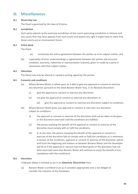### 36. Miscellaneous

### **36.1 Governing Law**

The Deed is governed by the laws of Victoria.

#### **36.2 Jurisdiction**

Each party submits to the exclusive jurisdiction of the courts exercising jurisdiction in Victoria and any courts that may hear appeals from such courts and waives any right it might have to claim that those courts are an inconvenient forum.

### **36.3 Entire deed**

The Deed:

- (a) constitutes the entire agreement between the parties as to its subject matter; and
- (b) supersedes all prior understandings or agreements between the parties and any prior condition, warranty, indemnity or representation imposed, given or made by a party in connection with that subject matter.

### **36.4 Alteration**

The Deed may only be altered or varied in writing signed by the parties.

### **36.5 Consents and conditions**

- (a) Where Barwon Water is called upon, or is able to give any approval or consent or exercise any discretion pursuant to the Deed Barwon Water may, in its Absolute Discretion:
	- (i) give the approval or consent or exercise any discretion;
	- (ii) not give the approval or consent or exercise any discretion; or
		- (iii) give the approval or consent or exercise any discretion subject to conditions.
- (b) Where Barwon Water gives any approval or consent or exercises any discretion subject to conditions:
	- (i) the approval or consent or exercise of the discretion shall not be taken to be given or the discretion exercised until the conditions are fulfilled;
	- (ii) the person enjoying the benefit of the approval or consent or exercise of the discretion must comply with or fulfil the conditions;
	- (iii) if, at any time, the person enjoying the benefit of the approval or consent or exercise of the discretion fails to comply with or fulfil the conditions or is otherwise in breach of the conditions, approval or consent or exercise of the discretion will be void from the beginning and matters as between Barwon Water and the Developer will be as if the approval or consent had not been given or the discretion had not been exercised (save that Barwon Water will continue to enjoy the benefit of any compliance with the conditions).

#### **36.6 Discretion**

If Barwon Water is entitled to act in its *Absolute Discretion* then:

(a) Barwon Water is entitled to act as it considers appropriate and is not obliged to consider the interests of the Developer;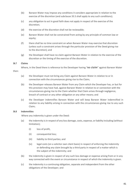- (b) Barwon Water may impose any conditions it considers appropriate in relation to the exercise of the discretion (and subclause 33.5 shall apply to any such conditions);
- (c) any obligation to act in good faith does not apply in respect of the exercise of the discretion;
- (d) the exercise of the discretion shall not be reviewable;
- (e) Barwon Water shall not be constrained from acting by any principle of common law or equity;
- (f) there shall be no time constraint on when Barwon Water may exercise that discretion (unless such a constraint arises through the particular provision of the Deed giving rise to the discretion); and
- (g) the Developer shall have no claim against Barwon Water in relation to the exercise of the discretion or the timing of the exercise of the discretion.

### **36.7 Claims**

then:

Where, in the Deed there is reference to the Developer having *'no claim'* against Barwon Water

- (a) the Developer must not bring any Claim against Barwon Water in relation to or in connection with the circumstances giving rise to the Claim;
- (b) the Developer releases Barwon Water from any Claim which the Developer has, or but for this provision may have had, against Barwon Water in relation to or connection with the circumstances giving rise to the Claim whether that Claim arises through negligence, breach of contract or any other obligation or any other means; and
- (c) the Developer indemnifies Barwon Water and will keep Barwon Water indemnified in relation to any liability arising in connection with the circumstances giving rise to any such Claim;

### **36.8 Indemnities**

Where any indemnity is given under the Deed:

- (a) the indemnity is in respect of any loss damage, costs, expense, or liability including (without limitation);
	- (i) loss of profit,
	- (ii) consequential loss;
	- (iii) liability to third parties; and
	- (iv) legal costs (on a solicitor own client basis) in respect of enforcing the indemnity or defending any claim brought by a third party in respect of a matter which is the subject of the indemnity; and
- (b) the indemnity is given in respect of any such loss damage or expense arising from or in any way connected with the event or circumstance in respect of which the indemnity is given.
- (c) the indemnity is a continuing obligation, separate and independent from the other obligations of the Developer; and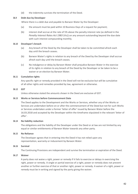(d) the indemnity survives the termination of the Deed.

### **36.9 Debt due by Developer**

Where there is a debt due and payable to Barwon Water by the Developer:

- (a) the amount must be paid within 10 Business Days of a request for payment;
- (b) interest shall accrue at the rate of 5% above the penalty interest rate (as defined in the *Penalty Interest Rates Act 1983* (Vic)) on any amount outstanding beyond the due date with such interest compounding monthly.

### **36.10 Developer's breach**

- (a) Any breach of the Deed by the Developer shall be taken to be committed afresh each day until the breach ceases.
- (b) Barwon Water's rights in relation to any breach of the Deed by the Developer shall accrue afresh each day until the breach ceases.
- (c) No indulgence or delay by Barwon Water shall prejudice Barwon Water in the exercise of its rights in relation to any breach of the Deed by the Developer or be taken to be a waiver or an election by Barwon Water.

### **36.11 Cumulative rights**

Any specific right or remedy provided in the Deed will not be exclusive but will be cumulative of all other rights and remedies provided by law, agreement or otherwise.

#### **36.12 GST**

Unless otherwise stated the amounts shown in the Deed are exclusive of GST.

#### **36.13 Works or Services before Commencement Date**

The Deed applies to the Development and the Works or Services, whether any of the Works or Services are undertaken before on or after the commencement of the Deed but not for such Works or Services undertaken under a former 'letter of offer' issued by Barwon Water before the 16.03.2018 and accepted by the Developer within the timeframe stipulated in the relevant 'letter of offer'.

#### **36.14 No liability reduction**

The obligations and the liability of the Developer under the Deed or at law are not limited by any equal or similar entitlements of Barwon Water towards any other party.

#### **36.15 No Reliance**

The Developer agrees that in entering into the Deed it has not relied upon any representation, warranty or inducement by Barwon Water.

#### **36.16 Survival**

The Continuing Provisions are independent and survive the termination or expiration of the Deed.

#### **36.17 Waiver**

A party does not waive a right, power or remedy if it fails to exercise or delays in exercising the right, power or remedy. A single or partial exercise of a right, power or remedy does not prevent another or further exercise of that or another right, power or remedy. A waiver of a right, power or remedy must be in writing and signed by the party giving the waiver.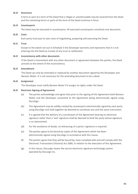#### **36.18 Severance**

A term or part of a term of the Deed that is illegal or unenforceable may be severed from the Deed and the remaining terms or parts of the term of the Deed continue in force.

#### **36.19 Counterparts**

The Deed may be executed in counterparts. All executed counterparts constitute one document.

### **36.20 Costs**

Each party must pay its own costs of negotiating, preparing and executing the Deed.

#### **36.21 Trust**

Except to the extent set out in Schedule 5 the Developer warrants and represents that it is not entering into the Deed as trustee of any trust or settlement.

#### **36.22 Inconsistency with other documents**

If the Deed is inconsistent with any other document or agreement between the parties, the Deed prevails to the extent of the inconsistency.

### **36.23 Amendment**

The Deed can only be amended or replaced by another document signed by the Developer and Barwon Water. It is not necessary for the amending document to be a deed.

### **36.24 Assignment**

The Developer must notify Barwon Water if it assigns its rights under the Deed.

### **36.25 Electronic Signing of Agreement**

- (a) The parties acknowledge and agree that prior to the signing of this Agreement both Barwon Water and the Developer consented to the Agreement being electronically signed using DocuSign.
- (b) This Agreement may be validly created by counterparts electronically signed by each party using DocuSign and shall together be deemed to constitute one and the same instrument.
- (c) It is agreed that the delivery of a counterpart of the Agreement bearing an electronic signature rather than a 'wet' signature shall be deemed to bind the party whose signature is so represented.
- (d) For the avoidance of doubt, no witnessing of a party's signature is required.
- (e) The parties agree to be bound by copies of this Agreement which has been electronically signed using DocuSign in accordance with this clause.
- (f) The parties agree that they will be bound by, have complied with and will comply with the Electronic Transactions (Victoria) Act 2000, in relation to the execution of this Agreement.
- (g) In this clause, Docusign means the secure electronic signature technology system operated by Docusign Inc.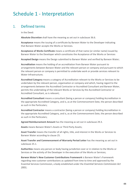# Schedule 1 - Interpretation

### 1. Defined terms

In the Deed:

**Absolute Discretion** shall have the meaning as set out in subclause 36.6.

**Acceptance** means the issuing of a certificate by Barwon Water to the Developer indicating that Barwon Water accepts the Works or Services.

**Acceptance of Works Certificate** means a certificate of that name (or similar name) issued by Barwon Water to the Developer which constitutes the Acceptance of the Works or Services

Accepted Design means the Design submitted to Barwon Water and verified by Barwon Water;

**Accreditation** means the holding of an accreditation from Barwon Water pursuant to arrangements between Barwon Water and the relevant person or company and pursuant to which the relevant person or company is permitted to undertake work or provide services relevant to Water Infrastructure;

**Accredited Category** means a category of Accreditation relevant to the Works or Services to be undertaken by the relevant person, organisation or company and which, having regard to the arrangements between the Accredited Contractor or Accredited Consultant and Barwon Water, permits the undertaking of the relevant Works or Services by the Accredited Contractor or Accredited Consultant, as is relevant;

**Accredited Consultant** means a consultant (being a person or company) holding Accreditation in the appropriate Accredited Category, and is, as at the Commencement Date, the person described as such in the Particulars;

**Accredited Contractor** means a contractor (being a person or company) holding Accreditation in the appropriate Accredited Category, and is, as at the Commencement Date, the person described as such in the Particulars;

**Agreed Reimbursement Amount** has the meaning as set out in subclause 29.3.

**Assets** means Barwon Water's Assets or Third Party Assets;

**Asset Transfer** means the transfer of all rights, title, and interest in the Works or Services to Barwon Water according to clause 25.

**Asset Transfer and Commencement of Warranty Period Letter** has the meaning as set out in subclause 25.1.

**Authorities** means any person or body having jurisdiction over or in relation to the Works or Services or the activity of the Developer in the execution of the Works or Services;

**Barwon Water's New Customer Contributions Framework** is Barwon Water's framework regarding new customer contributions as updated from time to time and approved by the Essential Services Commission, a body established under the *Essential Services Commission Act 2001*;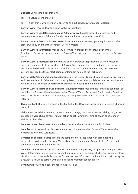#### **Business Day** means a day that is not:

- (a) a Saturday or Sunday; or
- (b) a day that is wholly or partly observed as a public holiday throughout Victoria;

**Barwon Water** means Barwon Region Water Corporation;

**Barwon Water's Land Development and Administrative Process** means the processes and requirements set out in Schedule 3 and as amended pursuant to subclause 15.2;

**Barwon Water's Assets or Barwon Water Assets** means any property, plant equipment or other asset owned by or under the control of Barwon Water;

**Barwon Water's Information** means any information provided to the Developer or the Developer's Personnel by or on behalf of Barwon Water or sourced from material held by Barwon Water;

**Barwon Water's Representative** means the person or persons representing Barwon Water or exercising some or all of the functions of Barwon Water under the Deed and being the person or persons as described in subclause 3.2(a) and is, as at the Commencement Date, the person or persons described as the contact person contained in item 2 of the Particulars;

**Barwon Water's Standards and Procedures** means the standards, specifications, policies, procedures and matters listed in Schedule 3 and any updates or any other guidelines, rules or requirements notified to the Developer or Accredited Consultant in writing from time to time.

**Barwon Water's Terms and Conditions for Developer Works** means these terms and conditions as published on Barwon Water's website under "Barwon Water's Terms and Conditions for Developer Works", <website>, including all Schedules, and any provision to which the terms and conditions refer to.

**Change in Control** means a change in the Control of the Developer other than a Permitted Change in Control;

**Claim** means any claim, demand, remedy, injury, damage, cost, loss, expense, liability, suit, action, proceeding, verdict, judgement, right of action or debt whether arising at law, in equity, under statute or otherwise;

**Commencement Date** means the date described as such and set out in the Particulars;

**Completion of the Works or Services** means the point in time when Barwon Water issues the Acceptance of Works Certificate.

**Completion of Works Package** means the completed forms together with accompanying information, as detailed in Barwon Water's Land Development and Administrative Process and otherwise required by Barwon Water.

**Confidential Information** means all information held or the property of a party (including Barwon Water Information) which is, under general principles of law, confidential whether in documentary, visual, oral, machine-readable or other form other than information in the public domain (except as a result of a failure to comply with an obligation to maintain confidentiality);

**Continuing Provisions** means the following provisions: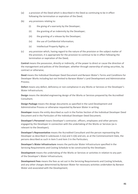- (a) a provision of the Deed which is described in the Deed as continuing to be in effect following the termination or expiration of the Deed;
- (b) any provisions relating to:
	- (i) the giving of a warranty by the Developer;
	- (ii) the granting of an indemnity by the Developer;
	- (iii) the granting of a release by the Developer;
	- (iv) the use of Confidential Information;
	- (v) Intellectual Property Rights; or
- (c) any provision which, having regard to the nature of the provision or the subject matter of the provision, it is appropriate for the provision to continue to be in effect following the termination or expiration of the Deed;

**Control** means the possession, directly or indirectly, of the power to direct or cause the direction of the management and policies of the Developer, whether through ownership of voting securities, by contract or otherwise;

**Deed** means the Individual Developer Deed Document and Barwon Water's Terms and Conditions for Developer Works including but not limited to Barwon Water's Land Development and Administrative Process;

**Defect** means any defect, deficiency or non-compliance in any Works or Services or the Developer's Water Infrastructure;

**Design** means the detailed engineering design of the Works or Services prepared by the Accredited Consultant;

**Design Package** means the design documents as specified in the Land Development and Administrative Process or otherwise requested by Barwon Water in writing;

**Developer** means the entity described as such in the Parties Section of the Individual Developer Deed Document and in the Particulars of the Individual Developer Deed Document;

**Developer's Personnel** means Developer's contractor, officers, employees and other persons engaged by the Developer in connection with the undertaking of the Works or Services (as is relevant to the Developer);

**Developer's Representative** means the Accredited Consultant and the person representing the Developer as described in subclauses 3.1(a) and 3.1(b) and are, as at the Commencement Date, the persons described as such in item 5 and item 3 in the Particulars;

**Developer's Water Infrastructure** means the particular Water Infrastructure specified in the Servicing Requirements and Costing Schedule to be constructed by the Developer;

**Development** means the undertaking of the Works or Services or activities in relation to any part of the Developer's Water Infrastructure;

**Development Fees** means the fees as set out in the Servicing Requirements and Costing Schedule, and any other charges determined by Barwon Water for necessary activities undertaken by Barwon Water and associated with the Development;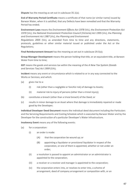**Dispute** has the meaning as set out in subclause 35.1(a);

**End of Warranty Period Certificate** means a certificate of that name (or similar name) issued by Barwon Water, when it is satisfied, that any Defects have been remedied and that the Warranty Period has ended;

**Environment Laws** means the *Environment Effects Act 1978* (Vic), the *Environment Protection Act 1970* (Vic), the *National Environment Protection Council (Victoria) Act 1995* (Vic), the *Planning and Environment Act 1987* (Vic), the *Planning and Environment*

*Regulations 2005* (Vic), as amended from time to time and any directions, statements, protocols, guidelines or other similar material issued or published under the Act or the Regulations;

**Final Reimbursement Amount** has the meaning as set out in subclause 29.5(a);

**Group Manager Development** means the person holding that title, or an equivalent title, at Barwon Water from time to time:

**GST** means the goods and services tax within the meaning of the *A New Tax System (Goods and Services Tax) Act 1999* (Cth);

**Incident** means any event or circumstance which is related to or in any way connected to the Works or Services; and which:

- (a) gives rise to a:
	- (i) risk (other than a negligible or fanciful risk) of damage to Assets;
	- (ii) material risk to injury of persons (other than a trivial injury);
- (b) constitutes a breach (other than a trivial breach) of the Deed; or
- (c) results in minor damage to an Asset where that damage is immediately repaired or made good by the Developer;

**Individual Developer Deed Document** means the individual deed document including the Particulars and the Servicing Requirements and Costing Schedule which is executed by Barwon Water and by the Developer for the construction of a particular Developer's Water Infrastructure.

**Insolvency Event** means any of the following events:

- (a) for a corporation:
	- (i) an order is made:
		- (A) that the corporation be wound up; or
		- (B) appointing a liquidator or provisional liquidator in respect of the corporation, or one of them is appointed, whether or not under an order;
	- (ii) a resolution is passed to appoint an administrator or an administrator is appointed to the corporation;
	- (iii) a receiver or a receiver and manager is appointed to the corporation;
	- (iv) the corporation enters into, or resolves to enter into, a scheme of arrangement, deed of company arrangement or composition with, or an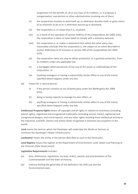assignment for the benefit of, all or any class of its creditors, or it proposes a reorganisation, moratorium or other administration involving any of them;

- (v) the corporation resolves to wind itself up, or otherwise dissolve itself, or gives notice of an intention to do so or is otherwise wound up or dissolved;
- (vi) the corporation is, or states that it is, insolvent;
- (vii) as a result of the operation of section 459F(1) of the *Corporations Act 2001* (Cth), the corporation is taken to have failed to comply with a statutory demand;
- (viii) the corporation is, or makes a statement from which the other party may reasonably conclude that the corporation is, the subject of an event described in section 459C(2)(a) to (f) inclusive or section 585 of the *Corporations Act 2001*  (Cth);
- (ix) the corporation takes any step to obtain protection, or is granted protection, from its creditors under any applicable law;
- (x) a mortgagee takes possession of any one of the assets or undertakings of the corporation; or
- (xi) anything analogous or having a substantially similar effect to any of the events specified above happens under any law;
- (b) means for a natural person:
	- *(i)* if the person commits an act of bankruptcy under the *Bankruptcy Act 1966* (Cth);
	- (ii) dying or losing capacity to manage his own affairs; or
	- (iii) anything analogous or having a substantially similar effect to any of the events specified above happens under any law;

**Intellectual Property Rights** means all copyright and all rights in relation to inventions (including patent rights), registered and unregistered trademarks (including service marks), registered and unregistered designs, and circuit layouts, and any other rights resulting from intellectual activity in the industrial, scientific, literary and artistic fields recognised in domestic law anywhere in the world;

**Land** means the land on which the Developer will undertake the Works or Services or construct the Developer's Water Infrastructure;

**Landowner** means the entity or the person described as such in the Particulars;

**Land Registry** means the register at the Department of Environment, Land, Water and Planning of the Victorian State Government;

#### **Legislative Requirements** includes:

- (a) Acts, Ordinances, regulations, by-laws, orders, awards and proclamations of the Commonwealth and the State of Victoria;
- (b) without limiting the generality of this definition, the OHS Law and the Environmental Laws;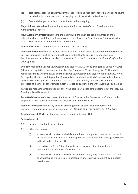- (c) certificates, licences, consents, permits, approvals and requirements of organisations having jurisdiction in connection with the carrying out of the Works or Services; and
- (d) fees and charges payable in connection with the foregoing;

**Major Infrastructure** has the meaning as set out in Barwon Water's Land Development and Administrative Process.

**New Customer Contributions** means charges including the non-scheduled charges and the scheduled charges as defined in Barwon Water's New Customer Contributions Framework in its most current version as amended from time to time;

**Notice of Dispute** has the meaning as set out in subclause 33.2;

**Notifiable Incident** means an incident which is related to or in any way connected to the Works or Services; and which must be notified to the relevant Authority pursuant to any Legislative Requirement and includes an incident to which Part 5 of the *Occupational Health and Safety Act 2004* applies;

**OHS Law** means the *Occupational Health and Safety Act 2004* (Vic), *Dangerous Goods Act 1985*  (Vic) and all regulations made under that Act, the *Equipment (Public Safety) Act* 1994 and all regulations made under that Act, and the *Occupational Health and Safety Regulations 2017* (Vic) (all together the 'Acts and Regulations'), any policies published by WorkCover available online at [www.worksafe.vic.gov.au, a](http://www.worksafe.vic.gov.au/)s amended from time to time and any directions, statements, protocols, guidelines or other similar material issued or published under the Acts and Regulations;

**Particulars** means the information set out in the particulars pages at the beginning of the Individual Developer Deed Document.

**Permitted Change in Control** means the transfer of Control in the Developer to a 'related body corporate' as that term is defined in the *Corporations Act 2001* (Cth);

**Planning Permission** means any relevant planning permit or other planning permission pursuant to a municipal planning scheme and the *Planning and Environment Act 1987* (Vic);

**Reimbursement Works** has the meaning as set out in subclause 31.1;

#### **Serious Incident**:

- (a) includes a Notifiable Incident; and
- (b) otherwise means:
	- (i) an event or circumstance which is related to or in any way connected to the Works or Services; and which results in damage to an Asset (other than damage described in the definition of Incident);
	- (ii) a breach of the Deed (other than a trivial breach and other than a breach described in the definition of Incident); or
	- (iii) an event or circumstance which is related to or in any way connected to the Works or Services; and which results in personal injury requiring treatment by a medical practitioner;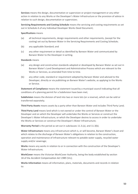**Services** means the design, documentation or supervision or project management or any other action in relation to any Works or the Developer's Water Infrastructure or the provision of advice in relation to such design, documentation or supervision;

**Servicing Requirements and Costing Schedule** means the servicing and costing requirements as set out in Schedule A of any Individual Developer Works Deed Document;

### **Specifications** means

- (a) all technical requirements, design requirements and other requirements, (except for the costing) set out by Barwon Water in the Servicing Requirements and Costing Schedule;
- (b) any applicable Standard; and
- (c) any other requirement or detail as identified by Barwon Water and communicated by Barwon Water to the Developer in writing.

### **Standards** means

- (a) any design and construction standards adopted or developed by Barwon Water as set out in Barwon Water's Land Development and Administrative Process which are relevant to the Works or Services, as amended from time to time.
- (b) any other code, standard or requirement adopted by Barwon Water and advised to the Developer, directly or via publishing on Barwon Water's website, as applying to the Works or Service.

**Statement of Compliance** means the statement issued by a municipal council indicating that all conditions of a planning permit for a Subdivision have been met;

**Subdivision** means the division of land into two or more lots (or a reserve), which can be sold or transferred separately;

**Third Party Assets** means assets by a party other than Barwon Water and includes Third Party Land;

**Third Party Land** means land which is not owned or under the control of Barwon Water or the Developer and on which the Developer will undertake the Works or Services or construct the Developer's Water Infrastructure, or which the Developer desires to access in order to undertake the Works or Services or construct the Developer's Water Infrastructure;

**Warranty Period** is the period as set out in subclauses 11.3.(a), and 11.3(b).

**Water Infrastructure** means any infrastructure which is, or will become, Barwon Water's Asset and which relates to the discharge of Barwon Water's obligations in relation to the construction, operation and maintenance of infrastructure relevant to potable water supply, recycled water supply and/or sewerage;

**Works** means any works in relation to or in connection with the construction of the Developer's Water Infrastructure;

**WorkCover** means the Victorian WorkCover Authority, being the body established by section 18 of the *Accident Compensation Act 1985* (Vic);

**Works Information** means all information, plans, materials, documents and records in relation to: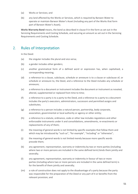- (a) Works or Services; and
- (b) any land affected by the Works or Services, which is required by Barwon Water to operate or maintain Barwon Water's Asset (including any part of the Works that form part of Barwon Water's Asset);

**Works Warranty Bond** means, the bond as described in clause 9 in the form as set out in the Servicing Requirements and Costing Schedule, and securing an amount as set out in the Servicing Requirements and Costing Schedule.

### 2. Rules of Interpretation

In the Deed:

- (a) the singular includes the plural and vice versa;
- (b) a gender includes other genders;
- (c) another grammatical form of a defined word or expression has, when capitalised, a corresponding meaning;
- (d) a reference to a clause, subclause, schedule or annexure is to a clause or subclause of, or schedule or annexure to, the Deed, and a reference to the Deed includes any schedule or annexure;
- (e) a reference to a document or instrument includes the document or instrument as novated, altered, supplemented or replaced from time to time;
- (f) a reference to a party is to a party to the Deed, and a reference to a party to a document includes the party's executors, administrators, successors and permitted assigns and substitutes;
- (g) a reference to a person includes a natural person, partnership, body corporate, association, governmental or local authority or agency or other entity;
- (h) a reference to a statute, ordinance, code or other law includes regulations and other enforceable instruments under it and consolidations, amendments, re-enactments or replacements of any of them;
- (i) the meaning of general words is not limited by specific examples that follow them and which may be introduced by "such as", "for example", "including" or "otherwise";
- (j) the meaning of general words is not limited merely because more specific words precede them;
- (k) any agreement, representation, warranty or indemnity by two or more parties (including where two or more persons are included in the same defined term) binds them jointly and severally;
- (l) any agreement, representation, warranty or indemnity in favour of two or more parties (including where two or more persons are included in the same defined term) is for the benefit of them jointly and severally;
- (m) a rule of construction does not apply to the disadvantage of a party because the party was responsible for the preparation of the Deed or any part of it or benefits from the relevant provision; and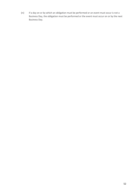(n) if a day on or by which an obligation must be performed or an event must occur is not a Business Day, the obligation must be performed or the event must occur on or by the next Business Day.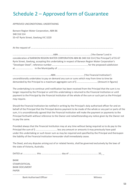# Schedule 2 – Approved form of Guarantee

APPROVED UNCONDITIONAL UNDERTAKING

Barwon Region Water Corporation, ABN 86 348 316 514 55–67 Ryrie Street, Geelong VIC 3220

At the request of ................................................................................................................................

...............................................................ABN ...................................................('the Owner') and in consideration of BARWON REGION WATER CORPORATION ABN 86 348 316 514 ('the Principal') of 55-67 Ryrie Street, Geelong, accepting this undertaking in respect of Barwon Region Water Corporation's "Developer Deed", reference number......................................................., for the proposed subdivision at ........................... in the Municipality of ..........................................

..................................................……….ABN. ........................................... ('the Financial Institution') unconditionally undertakes to pay on demand any sum or sums which may from time to time be demanded by the Principal to a maximum aggregate sum of \$ ................................ (Amount in figures)

The undertaking is to continue until notification has been received from the Principal that the sum is no longer required by the Principal or until this undertaking is returned to the Financial Institution or until payment to the Principal by the Financial Institution of the whole of the sum or such part as the Principal may require.

Should the Financial Institution be notified in writing by the Principal's duly authorised officer for and on behalf of the Principal that the Principal desires payment to be made of the whole or any part or parts of the sum, it is unconditionally agreed that the Financial Institution will make the payment or payments to the Principal forthwith without reference to the Owner and notwithstanding any notice given by the Owner not to pay the same.

Provided always that the Financial Institution may at any time without being required so to do pay to the Principal the sum of \$ ................................. less any amount or amounts it may previously have paid under this undertaking or such lesser sum as may be required and specified by the Principal and thereupon the liability of the Financial Institution hereunder shall immediately cease.

The Deed, and any disputes arising out of or related hereto, shall be governed exclusively by the laws of the state of Victoria, Australia.

DATED at ..................... this ............................... day of ............................................. 20\_ \_

| <b>BANK</b>                    |         |
|--------------------------------|---------|
| STAMP/OFFICIAL                 |         |
| <b>BANK DOCUMENT</b>           |         |
| <b>PAPER</b>                   |         |
|                                |         |
| <b>Bank Authorised Officer</b> | Witness |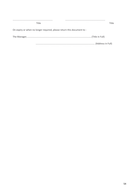| Title                                                                 | Title |
|-----------------------------------------------------------------------|-------|
| On expiry or when no longer required, please return this document to: |       |
|                                                                       |       |
|                                                                       |       |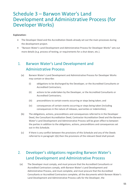## Schedule 3 – Barwon Water's Land Development and Administrative Process (for Developer Works)

### **Explanation:**

- The Developer Deed and the Accreditation Deeds already set out the main processes during the development project.
- "Barwon Water's Land Development and Administrative Process for Developer Works" sets out more details (e.g. process of testing, or requirements for a shut-down, etc.).

### <span id="page-54-0"></span>1. Barwon Water's Land Development and Administrative Process

- (a) Barwon Water's Land Development and Administrative Process for Developer Works may contain or describe:
	- (i) obligations to be discharged by the Developer, or the Accredited Consultants or Accredited Contractors;
	- (ii) actions to be undertaken by the Developer, or the Accredited Consultants or Accredited Contractors;
	- (iii) preconditions to certain events occurring or steps being taken; and
	- (iv) consequences of certain events occurring or steps being taken (including consequences in the nature of releases, warranties or indemnities).
- (b) The obligations, actions, preconditions and consequences referred to in the Developer Deed, the Consultant Accreditation Deed, Contractor Accreditation Deed and the Barwon Water's Land Development and Administrative Process will be given effect to between the parties in addition to the obligations, actions, preconditions and consequences set out in this Schedule.
- (c) If there is any conflict between the provisions of this Schedule and any of the Deeds referred to in paragraph [1\(b\) t](#page-54-0)hen the provisions of the relevant Deed shall prevail.

### 2. Developer's obligations regarding Barwon Water's Land Development and Administrative Process

(a) The Developer must comply, and must procure that the Accredited Consultants or Accredited Contractors comply, with Barwon Water's Land Development and Administrative Process, and must complete, and must procure that the Accredited Consultants or Accredited Contractors complete, all the documents which Barwon Water's Land Development and Administrative Process calls for the Developer, the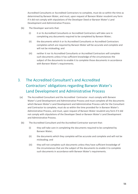Accredited Consultants or Accredited Contractors to complete, must do so within the time as determined by Barwon Water, and must, upon request of Barwon Water resubmit any form if it did not comply with stipulations of the Developer Deed or Barwon Water's Land Development and Administrative Process.

- (b) The Developer warrants that:
	- (i) it or its Accredited Consultants or Accredited Contractors will take care in completing any documents required to be completed by Barwon Water;
	- (ii) the documents which it or its Accredited Consultants or Accredited Contractors completes which are required by Barwon Water will be accurate and complete and will not be misleading; and
	- (iii) neither it nor its Accredited Consultants or Accredited Contractors will complete such documents unless it has sufficient knowledge of the circumstances the subject of the documents to enable it to complete those documents in accordance with Barwon Water's requirements.

### 3. The Accredited Consultant's and Accredited Contractors' obligations regarding Barwon Water's Land Development and Administrative Process

- (a) The Accredited Consultant and the Accredited Contractor must comply with Barwon Water's Land Development and Administrative Process and must complete all the documents which Barwon Water's Land Development and Administrative Process calls for the Consultant and Contractor to complete, must do so within the time provided for in Barwon Water's Administrative Process, and must, upon request of Barwon Water resubmit any form if it did not comply with stipulations of the Developer Deed or Barwon Water's Land Development and Administrative Process.
- (b) The Accredited Consultant and the Accredited Contractor warrant that:
	- (i) they will take care in completing the documents required to be completed by Barwon Water;
	- (ii) the documents which they complete will be accurate and complete and will not be misleading; and
	- (iii) they will not complete such documents unless they have sufficient knowledge of the circumstances that are the subject of the documents to enable it to complete such documents in accordance with Barwon Water's requirements.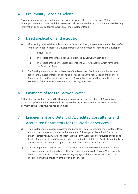### 4. Preliminary Servicing Advice

Any information given in a preliminary servicing advice or otherwise by Barwon Water is not binding upon Barwon Water and the Developer shall not undertake any commitment based on any information given until a formal execution of the Developer Deed.

### 5. Deed application and execution

- (a) After having received the application for a Developer Deed, if Barwon Water decides to offer to the Developer to execute a Developer Deed, Barwon Water will send to the Developer:
	- (i) a cover letter;
	- (ii) two copies of the Developer Deed executed by Barwon Water; and
	- (iii) two copies of the Service Requirements and Costing Schedule which form part of the Developer Deed.
- (b) The Developer must execute both copies of the Developer Deed, complete the particulars page of the Developer Deed, and send one copy of the Developer Deed and the Service Requirements and Costing Schedule back to Barwon Water within three months from the issue date of the Service Requirements and Costing Schedule.

### 6. Payments of fees to Barwon Water

All fees Barwon Water requests the Developer to pay for services or actions of Barwon Water, have to be paid upfront. Barwon Water will not undertake any action or render any service until full payment of the respective fee has been made.

### 7. Engagement and Details of Accredited Consultants and Accredited Contractors for the Works or Services

- (a) The Developer must engage an Accredited Consultant before executing the Developer Deed and must provide Barwon Water with the details of the engaged Accredited Consultant either, if already known, by filling them into the Form 'Application for Developer Deed and Service Requirements and Costing Schedule' or, at the latest, into the Particulars of the Deed before sending the executed copies of the Developer Deed to Barwon Water. .
- (b) The Developer must engage an Accredited Contractor before the commencement of the construction and must immediately after the engagement provide Barwon Water with the details of the Contractor. The Developer may engage additional Accredited Contractors at any time during the provision of the Works or Services.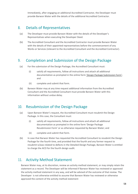Immediately, after engaging an additional Accredited Contractor, the Developer must provide Barwon Water with the details of the additional Accredited Contractor.

### 8. Details of Representatives

- (a) The Developer must provide Barwon Water with the details of the Developer's Representatives when executing the Developer Deed.
- (b) The Accredited Consultant and the Accredited Contractor must provide Barwon Water with the details of their appointed representatives before the commencement of any Works or Services (relevant to the Accredited Consultant and the Accredited Contractor).

### 9. Completion and Submission of the Design Package

- (a) For the submission of the Design Package, the Accredited Consultant must:
	- (i) satisfy all requirements, follow all instructions and attach all additional documentation as prompted in the online form ['Design P](https://onform.com.au/content/onform/agencies/BarwonWater/forms/accredited-consultantscertificationdetaileddesign.html)ackage Submission Form'; and
	- (ii) complete and submit that form.
- (b) Barwon Water may at any time request additional information from the Accredited Consultant and the Accredited Consultant must provide Barwon Water with this information without undue delay.

### 10. Resubmission of the Design Package

- (a) Upon Barwon Water's request, the Accredited Consultant must resubmit the Design Package. In this case, the Consultant must:
	- (i) satisfy all requirements, follow all instructions and attach all additional documentation as prompted in the online form ['Design](https://onform.com.au/content/onform/agencies/BarwonWater/forms/accredited-consultantscertificationdetaileddesign.html) Package Resubmission Form' or as otherwise requested by Barwon Water; and
	- (ii) complete and submit that form.
- (b) In case that Barwon Water has requested the Accredited Consultant to resubmit the Design Package for the fourth time, and provided that the fourth and any former request to resubmit is/was related to defects in the Detailed Design Package, Barwon Water is entitled to charge the ACO for the fourth design audit.

### 11. Activity Method Statement

Barwon Water may, at its discretion, review an activity method statement, or may simply retain the statement as a record. The Developer will be informed if Barwon Water has reviewed or approved the activity method statement in any way, and will be advised of the outcome of that review. The Developer is not otherwise entitled to assume that Barwon Water has reviewed or otherwise approved the content of the activity method statement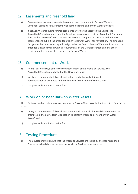### 12. Easements and freehold land

- (a) Easements and/or reserves are to be created in accordance with Barwon Water's Developer Servicing Requirements Manual to be found on Barwon Water's website.
- (b) If Barwon Water requests further easements after having accepted the Design, the Accredited Consultant must, and the Developer must ensure that the Accredited Consultant does, at the Developer's costs, amend the Accepted Design in accordance with the new easements and submit the amended Design to Barwon Water for verification. The amended Design only becomes an Accepted Design under the Deed if Barwon Water confirms that the amended Design complies with all requirements of the Developer Deed and any other requirement for easements requested by Barwon Water.

### 13. Commencement of Works

- (a) Five (5) Business Days before the commencement of the Works or Services, the Accredited Consultant on behalf of the Developer must:
- (b) satisfy all requirements, follow all instructions and attach all additional documentation as prompted in the online form 'Notification of Works'; and
- (c) complete and submit that online form.

### 14. Work on or near Barwon Water Assets

Three (3) business days before any work on or near Barwon Water Assets, the Accredited Contractor must:

- (a) satisfy all requirements, follow all instructions and attach all additional documentation as prompted in the online form 'Application to perform Works on or near Barwon Water Assets'; and
- (b) complete and submit that online form.

### 15. Testing Procedure

(a) The Developer must ensure that the Works or Services are tested by another Accredited Contractor who did not undertake the Works or Services to be tested, at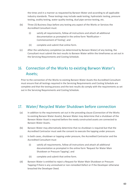the times and in a manner as requested by Barwon Water and according to all applicable industry standards. These testings may include swab testing, hydrostatic testing, pressure testing, ovality testing, water quality testing, dual pipe service testing, etc.

- (b) Three (3) Business Days before any testing any aspect of the Works or Services the Accredited Consultant must:
	- (i) satisfy all requirements, follow all instructions and attach all additional documentation as prompted in the online form 'Notification – Commencement of Testing'; and
	- (ii) complete and submit that online form.
- (c) After the satisfactory completion (as determined by Barwon Water) of any testing, the Consultant must submit the test results to Barwon Water within the timeframes as set out in the Servicing Requirements and Costing Schedule.

### 16. Connection of the Works to existing Barwon Water's Assets;

Prior to the connection of the Works to existing Barwon Water Assets the Accredited Consultant must ensure that all testings required in the Servicing Requirements and Costing Schedule are complete and that the testing process and the test results do comply with the requirements as set out in the Servicing Requirements and Costing Schedule.

### 17. Water/ Recycled Water Shutdown before connection

- (a) In addition to the requirements set out in the preceding clause (Connection of the Works to existing Barwon Water Assets), Barwon Water may determine that a shutdown of the Barwon Water Asset is required before the newly constructed assets are connected to Barwon Water Assets.
- (b) Barwon Water may alternatively determine that no shutdown is required but that the Accredited Contractor must seek the consent to execute the tapping under pressure.
- (c) In both cases, shutdown or tapping under pressure, the Accredited Contractor and the Accredited Consultant must
	- (i) satisfy all requirements, follow all instructions and attach all additional documentation as prompted in the online form 'Request for Water Main Shutdown or Pressure Tapping'; and
	- (ii) complete and submit that online form.
- (d) Barwon Water is entitled to reject a Request for Water Main Shutdown or Pressure Tapping if there is any unresolved or non-remedied Defect or if the Developer otherwise breached the Developer Deed.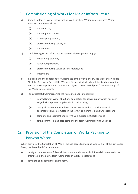### 18. Commissioning of Works for Major Infrastructure

- (a) Some Developer's Water Infrastructure Works include 'Major Infrastructure'. Major Infrastructure means either
	- (i) a water main,
	- (ii) a water pump station,
	- (iii) a sewer pump station,
	- (iv) pressure reducing valves, or
	- (v) a water tank.
- (b) The following Major Infrastructure requires electric power supply:
	- (i) water pump stations,
	- (ii) sewer pump stations,
	- (iii) pressure reducing valves or flow meters, and
	- (iv) water tanks.
- (c) In addition to the conditions for Acceptance of the Works or Services as set out in clause 24 of the Developer Deed, if the Works or Services include Major Infrastructure requiring electric power supply, the Acceptance is subject to a successful prior 'Commissioning' of this Major Infrastructure.
- (d) For a successful Commissioning the Accredited Consultant must:
	- (i) inform Barwon Water about any application for power supply which has been lodged with a power supplier within undue delay;
	- (ii) satisfy all requirements, follow all instructions and attach all additional documentation as prompted in the form 'Pre-Commissioning Checklist'; and
	- (iii) complete and submit the form 'Pre-Commissioning Checklist'; and
	- (iv) at the commissioning date complete the form 'Commissioning Checklist'.

### 19. Provision of the Completion of Works Package to Barwon Water

When providing the Completion of Works Package according to subclause 23.1(a) of the Developer Deed, the Accredited Consultant must:

- (a) satisfy all requirements, follow all instructions and attach all additional documentation as prompted in the online form 'Completion of Works Package'; and
- (b) complete and submit that online form.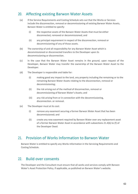### 20. Affecting existing Barwon Water Assets

- (a) If the Service Requirements and Costing Schedule sets out that the Works or Services include the disconnection, removal or decommissioning of existing Barwon Water Assets, Barwon Water is entitled to specify:
	- (i) the respective assets of the Barwon Water Assets that must be either disconnected, removed or decommissioned; and
	- (ii) any principal requirement in respect of the disconnection, removal or decommissioning of any of those assets.
- (b) The ownership of and all responsibility for any Barwon Water Asset which is decommissioned or disconnected transfers to the Developer upon its decommissioning or disconnection.
- (c) In the case that the Barwon Water Asset remains in the ground, upon request of the Developer, Barwon Water may transfer the ownership of the Barwon Water Asset to the Developer.
- (d) The Developer is responsible and liable for:
	- (i) making good any impact to the land, any property including the remaining or to the remaining Barwon Water Assets relating to the disconnection, removal or decommissioning;
	- (ii) the risk arising out of the method of disconnection, removal or decommissioning of Barwon Water's Assets; and
	- (iii) any risk arising from or in connection with the decommissioning, disconnection. or removal.
- (e) The Developer must at its cost:
	- (i) remove any easement securing a former Barwon Water Asset that has been decommissioned; and
	- (ii) create any new easement required by Barwon Water over any replacement asset of a former Barwon Water Asset in accordance with subsections 21.4(b) to (f) of the Developer Deed.

### 21. Provision of Works Information to Barwon Water

Barwon Water is entitled to specify any Works Information in the Servicing Requirements and Costing Schedule.

### 22. Build over consents

The Developer and the Consultant must ensure that all works and services comply with Barwon Water's Asset Protection Policy, if applicable, as published on Barwon Water's website.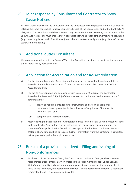### 23. Joint response by Consultant and Contractor to Show Cause Notices

Barwon Water may serve the Consultant and the Contractor with respective Show Cause Notices relating the same issue which inflicts a respective breach of the Consultant's and of the Contractor's obligation. The Consultant and the Contractor may provide to Barwon Water a joint response to the Show Cause Notices but must ensure that it addresses both, the breach of the Contractor's obligation (e.g. non-compliance with Specification) and the Consultant's obligation (e.g. lack of proper supervision or auditing)

### 24. Additional duties Consultant

Upon reasonable prior notice by Barwon Water, the Consultant must attend on site at the date and time as required by Barwon Water.

### 25. Application for Accreditation and for Re-Accreditation

- (a) For the first application for Accreditation, the contractor / consultant must complete the Accreditation Application Form and follow the process as described in section 7 of the Accreditation Deed.
- (b) For the Re-Accreditation and compliance with subsection 7.5(a)(iii) of the Contractor Accreditation Deed and 7.5(a)(iii) of the Consultant Accreditation Deed, the contractor / consultant must
	- (i) satisfy all requirements, follow all instructions and attach all additional documentation as prompted in the online form "Application / Renewal for Accreditation"; and
	- (ii) complete and submit that form.
- (c) After receiving the application for Accreditation or Re-Accreditation, Barwon Water will send to the contractor / consultant a letter informing the contractor / consultant about the outcome of the application for Accreditation or application for Re-Accreditation. Barwon Water is at any time entitled to request further information from the contractor / consultant before proceeding with the application process.

### 26. Breach of a provision in a deed – Filing and issuing of Non-Conformances

(a) Any breach of the Developer Deed, the Contractor Accreditation Deed, or the Consultant Accreditation Deed, entitles Barwon Water to file a "Non-Conformance" under Barwon Water's safety quality and environment management system, and, as the case may be, to serve to the Developer, the Accredited Consultant, or the Accredited Contractor a request to remedy the breach (which may also be called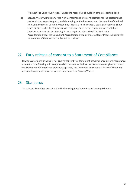"Request For Corrective Action") under the respective stipulation of the respective deed.

(b) Barwon Water will take any filed Non-Conformance into consideration for the performance review of the respective party, and depending on the frequency and the severity of the filed Non-Conformances, Barwon Water may request a Performance Discussion or serve a Show Cause Notice under the Contractor Accreditation Deed or the Consultant Accreditation Deed, or may execute its other rights resulting from a breach of the Contractor Accreditation Deed, the Consultant Accreditation Deed or the Developer Deed, including the termination of the deed or the Accreditation itself.

### 27. Early release of consent to a Statement of Compliance

Barwon Water does principally not give its consent to a Statement of Compliance before Acceptance. In case that the Developer in exceptional circumstances desires that Barwon Water gives a consent to a Statement of Compliance before Acceptance, the Developer must contact Barwon Water and has to follow an application process as determined by Barwon Water.

### 28. Standards

The relevant Standards are set out in the Servicing Requirements and Costing Schedule.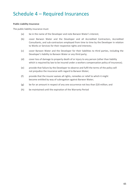# Schedule 4 – Required Insurances

### **Public Liability Insurance**

The public liability insurance must:

- (a) be in the name of the Developer and note Barwon Water's interest;
- (b) cover Barwon Water and the Developer and all Accredited Contractors, Accredited Consultants, and sub-contractors employed from time to time by the Developer in relation to Works or Services for their respective rights and interests;
- (c) cover Barwon Water and the Developer for their liabilities to third parties, including the Developer's liability to Barwon Water or any third party;
- (d) cover loss of damage to property death of or injury to any person (other than liability which is required by law to be insured under a workers compensation policy of insurance);
- (e) provide that failure by the Developer to observe and fulfil the terms of the policy will not prejudice the insurance with regard to Barwon Water;
- (f) provide that the insurer waives all rights, remedies or relief to which it might become entitled by way of subrogation against Barwon Water;
- (g) be for an amount in respect of any one occurrence not less than \$20 million; and
- (h) be maintained until the expiration of the Warranty Period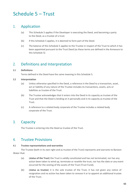# Schedule 5 – Trust

### 1. Application

- (a) This Schedule 5 applies if the Developer is executing the Deed, and becoming a party to the Deed, as a trustee of a trust.
- (b) If this Schedule 5 applies, it is deemed to form part of the Deed.
- (c) The balance of this Schedule 5 applies to the Trustee in respect of the Trust to which it has been appointed pursuant to the Trust Deed (as these terms are defined in the Annexure to this Schedule 5)

### 2. Definitions and Interpretation

### **2.1 Definitions**

Terms defined in the Deed have the same meaning in this Schedule 5.

### **2.2 Interpretation**

- (a) Unless otherwise specified in the Deed, a reference in the Deed to a transaction, asset, act or liability of any nature of the Trustee includes its transactions, assets, acts or liabilities as trustee of the Trust.
- (b) The Trustee acknowledges that it enters into the Deed in its capacity as trustee of the Trust and that the Deed is binding on it personally and in its capacity as trustee of the Trust.
- (c) A reference to a related body corporate of the Trustee includes a related body corporate of the Trust.

### 3. Capacity

The Trustee is entering into the Deed as trustee of the Trust.

### 4. Trustee Provisions

#### **4.1 Trustee representations and warranties**

The Trustee (both in its own right and as trustee of the Trust) represents and warrants to Barwon Water that:

- (a) (**status of the Trust**) the Trust is validly constituted and has not terminated, nor has any action been taken to wind up, terminate or resettle the trust, nor has the date or any event occurred for the vesting of the assets of the Trust (Trust Fund);
- (b) (**status as trustee**) it is the sole trustee of the Trust, it has not given any notice of resignation and no action has been taken to remove it or to appoint an additional trustee of the Trust;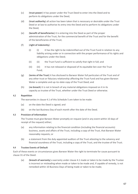- (c) (**trust power**) it has power under the Trust Deed to enter into the Deed and to perform its obligations under the Deed;
- (d) (**trust authority**) all action has been taken that is necessary or desirable under the Trust Deed or at law to authorise its entry into the Deed and to perform its obligations under the Deed;
- (e) (**benefit of beneficiaries**) it is entering into the Deed as part of the proper administration of the Trust, for the commercial benefit of the Trust and for the benefit of the beneficiaries of the Trust;
- (f) (**right of indemnity**):
	- (i) (i) it has the right to be indemnified out of the Trust Fund in relation to any liability arising under or in connection with the proper performance of its rights and obligations under the Deed;
	- (ii) (ii) the Trust Fund is sufficient to satisfy that right in full; and
	- (iii) (iii) it has not released or disposed of its equitable lien over the Trust Fund;
- (g) (**terms of the Trust**) it has disclosed to Barwon Water full particulars of the Trust and of any other trust or fiduciary relationship affecting the Trust Fund and has given Barwon Water a complete and up–to–date copy of the Trust Deed; and
- (h) (**no breach**) it is not in breach of any material obligations imposed on it in its capacity as trustee of the Trust, whether under the Trust Deed or otherwise.

### **4.2 Repetition**

The warranties in clause 4.1 of this Schedule 5 are taken to be made:

- (a) on the date the Deed is signed; and
- (b) on the last Business Day of each month after the date of the Deed.

### **4.3 Provision of Information**

The Trustee must give Barwon Water promptly on request (and in any event within 10 days of receipt of the request) either;

- (a) any information relating to the financial condition (including the financial accounts) business, assets and affairs of the Trust, including a copy of the Trust, that Barwon Water reasonably requests; or
- (b) a statement from the duly appointed auditors of the Trust attesting to the solvency and financial soundness of the Trust, including a copy of the Trust, and the trustee of the Trust.

### **4.4 Trustee Events of Default**

Each of these events or circumstances gives Barwon Water the right to terminate for cause pursuant to clause 31 of the Deed:

(a) (**breach of warranty**) a warranty under clause 4.1 made or taken to be made by the Trustee is incorrect or misleading when made or taken to be made and, if capable of remedy, is not remedied within 10 Business Days of being made or taken to be made;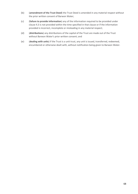- (b) (**amendment of the Trust Deed**) the Trust Deed is amended in any material respect without the prior written consent of Barwon Water;
- (c) (**failure to provide information**) any of the information required to be provided under clause 4.3 is not provided within the time specified in that clause or if the information provided is incorrect, incomplete or misleading in any material respect;
- (d) (**distributions**) any distributions of the capital of the Trust are made out of the Trust without Barwon Water's prior written consent; and
- (e) (**dealing with units**) if the Trust is a unit trust, any unit is issued, transferred, redeemed, encumbered or otherwise dealt with, without notification being given to Barwon Water.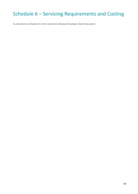# Schedule 6 – Servicing Requirements and Costing

As attached as Schedule A in the relevant Individual Developer Deed Document.